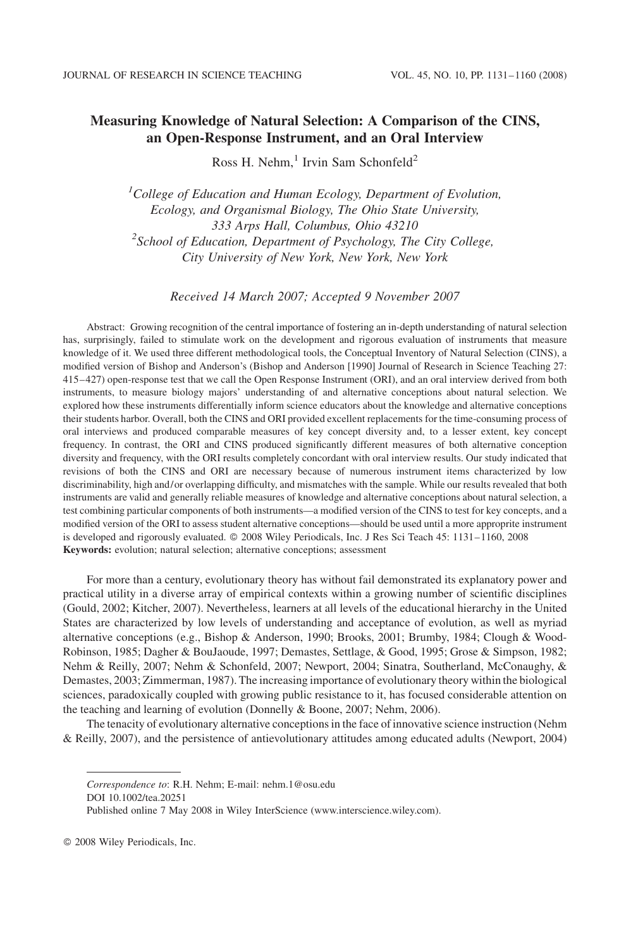# Measuring Knowledge of Natural Selection: A Comparison of the CINS, an Open-Response Instrument, and an Oral Interview

Ross H. Nehm, $<sup>1</sup>$  Irvin Sam Schonfeld<sup>2</sup></sup>

 ${}^{1}$ College of Education and Human Ecology, Department of Evolution, Ecology, and Organismal Biology, The Ohio State University, 333 Arps Hall, Columbus, Ohio 43210<br><sup>2</sup> School of Education, Department of Psychology, The City College, City University of New York, New York, New York

Received 14 March 2007; Accepted 9 November 2007

Abstract: Growing recognition of the central importance of fostering an in-depth understanding of natural selection has, surprisingly, failed to stimulate work on the development and rigorous evaluation of instruments that measure knowledge of it. We used three different methodological tools, the Conceptual Inventory of Natural Selection (CINS), a modified version of Bishop and Anderson's (Bishop and Anderson [1990] Journal of Research in Science Teaching 27: 415–427) open-response test that we call the Open Response Instrument (ORI), and an oral interview derived from both instruments, to measure biology majors' understanding of and alternative conceptions about natural selection. We explored how these instruments differentially inform science educators about the knowledge and alternative conceptions their students harbor. Overall, both the CINS and ORI provided excellent replacements for the time-consuming process of oral interviews and produced comparable measures of key concept diversity and, to a lesser extent, key concept frequency. In contrast, the ORI and CINS produced significantly different measures of both alternative conception diversity and frequency, with the ORI results completely concordant with oral interview results. Our study indicated that revisions of both the CINS and ORI are necessary because of numerous instrument items characterized by low discriminability, high and/or overlapping difficulty, and mismatches with the sample. While our results revealed that both instruments are valid and generally reliable measures of knowledge and alternative conceptions about natural selection, a test combining particular components of both instruments—a modified version of the CINS to test for key concepts, and a modified version of the ORI to assess student alternative conceptions—should be used until a more approprite instrument is developed and rigorously evaluated.  $\oslash$  2008 Wiley Periodicals, Inc. J Res Sci Teach 45: 1131–1160, 2008 Keywords: evolution; natural selection; alternative conceptions; assessment

For more than a century, evolutionary theory has without fail demonstrated its explanatory power and practical utility in a diverse array of empirical contexts within a growing number of scientific disciplines (Gould, 2002; Kitcher, 2007). Nevertheless, learners at all levels of the educational hierarchy in the United States are characterized by low levels of understanding and acceptance of evolution, as well as myriad alternative conceptions (e.g., Bishop & Anderson, 1990; Brooks, 2001; Brumby, 1984; Clough & Wood-Robinson, 1985; Dagher & BouJaoude, 1997; Demastes, Settlage, & Good, 1995; Grose & Simpson, 1982; Nehm & Reilly, 2007; Nehm & Schonfeld, 2007; Newport, 2004; Sinatra, Southerland, McConaughy, & Demastes, 2003; Zimmerman, 1987). The increasing importance of evolutionary theory within the biological sciences, paradoxically coupled with growing public resistance to it, has focused considerable attention on the teaching and learning of evolution (Donnelly & Boone, 2007; Nehm, 2006).

The tenacity of evolutionary alternative conceptions in the face of innovative science instruction (Nehm & Reilly, 2007), and the persistence of antievolutionary attitudes among educated adults (Newport, 2004)

Correspondence to: R.H. Nehm; E-mail: nehm.1@osu.edu DOI 10.1002/tea.20251 Published online 7 May 2008 in Wiley InterScience (www.interscience.wiley.com).

2008 Wiley Periodicals, Inc.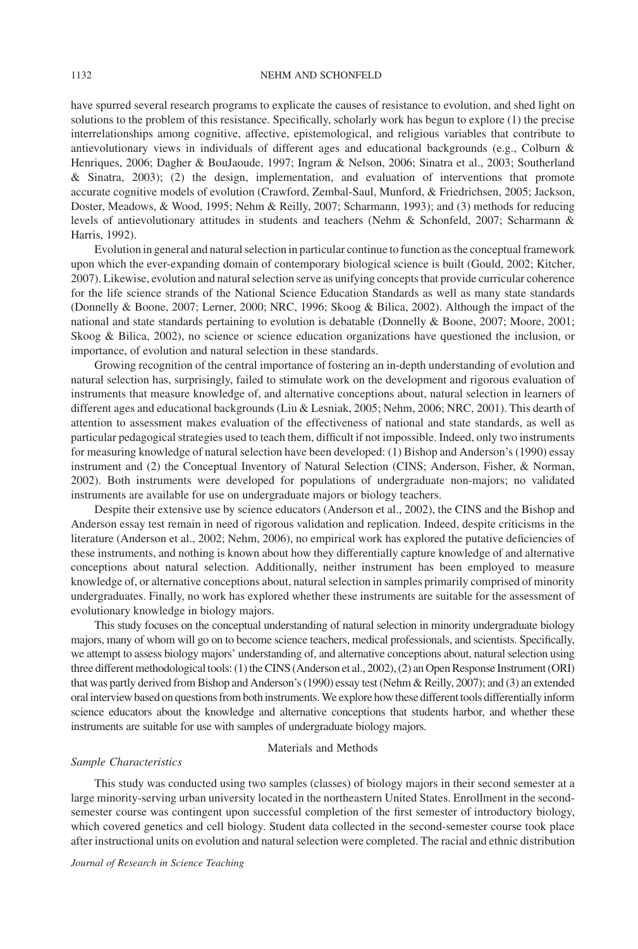have spurred several research programs to explicate the causes of resistance to evolution, and shed light on solutions to the problem of this resistance. Specifically, scholarly work has begun to explore (1) the precise interrelationships among cognitive, affective, epistemological, and religious variables that contribute to antievolutionary views in individuals of different ages and educational backgrounds (e.g., Colburn & Henriques, 2006; Dagher & BouJaoude, 1997; Ingram & Nelson, 2006; Sinatra et al., 2003; Southerland & Sinatra, 2003); (2) the design, implementation, and evaluation of interventions that promote accurate cognitive models of evolution (Crawford, Zembal-Saul, Munford, & Friedrichsen, 2005; Jackson, Doster, Meadows, & Wood, 1995; Nehm & Reilly, 2007; Scharmann, 1993); and (3) methods for reducing levels of antievolutionary attitudes in students and teachers (Nehm & Schonfeld, 2007; Scharmann & Harris, 1992).

Evolution in general and natural selection in particular continue to function as the conceptual framework upon which the ever-expanding domain of contemporary biological science is built (Gould, 2002; Kitcher, 2007). Likewise, evolution and natural selection serve as unifying concepts that provide curricular coherence for the life science strands of the National Science Education Standards as well as many state standards (Donnelly & Boone, 2007; Lerner, 2000; NRC, 1996; Skoog & Bilica, 2002). Although the impact of the national and state standards pertaining to evolution is debatable (Donnelly & Boone, 2007; Moore, 2001; Skoog & Bilica, 2002), no science or science education organizations have questioned the inclusion, or importance, of evolution and natural selection in these standards.

Growing recognition of the central importance of fostering an in-depth understanding of evolution and natural selection has, surprisingly, failed to stimulate work on the development and rigorous evaluation of instruments that measure knowledge of, and alternative conceptions about, natural selection in learners of different ages and educational backgrounds (Liu & Lesniak, 2005; Nehm, 2006; NRC, 2001). This dearth of attention to assessment makes evaluation of the effectiveness of national and state standards, as well as particular pedagogical strategies used to teach them, difficult if not impossible. Indeed, only two instruments for measuring knowledge of natural selection have been developed: (1) Bishop and Anderson's (1990) essay instrument and (2) the Conceptual Inventory of Natural Selection (CINS; Anderson, Fisher, & Norman, 2002). Both instruments were developed for populations of undergraduate non-majors; no validated instruments are available for use on undergraduate majors or biology teachers.

Despite their extensive use by science educators (Anderson et al., 2002), the CINS and the Bishop and Anderson essay test remain in need of rigorous validation and replication. Indeed, despite criticisms in the literature (Anderson et al., 2002; Nehm, 2006), no empirical work has explored the putative deficiencies of these instruments, and nothing is known about how they differentially capture knowledge of and alternative conceptions about natural selection. Additionally, neither instrument has been employed to measure knowledge of, or alternative conceptions about, natural selection in samples primarily comprised of minority undergraduates. Finally, no work has explored whether these instruments are suitable for the assessment of evolutionary knowledge in biology majors.

This study focuses on the conceptual understanding of natural selection in minority undergraduate biology majors, many of whom will go on to become science teachers, medical professionals, and scientists. Specifically, we attempt to assess biology majors' understanding of, and alternative conceptions about, natural selection using three different methodological tools: (1) the CINS (Anderson et al., 2002), (2) an Open Response Instrument (ORI) that was partly derived from Bishop and Anderson's (1990) essay test (Nehm & Reilly, 2007); and (3) an extended oral interview based on questions from both instruments. We explore how these different tools differentially inform science educators about the knowledge and alternative conceptions that students harbor, and whether these instruments are suitable for use with samples of undergraduate biology majors.

## Materials and Methods

#### Sample Characteristics

This study was conducted using two samples (classes) of biology majors in their second semester at a large minority-serving urban university located in the northeastern United States. Enrollment in the secondsemester course was contingent upon successful completion of the first semester of introductory biology, which covered genetics and cell biology. Student data collected in the second-semester course took place after instructional units on evolution and natural selection were completed. The racial and ethnic distribution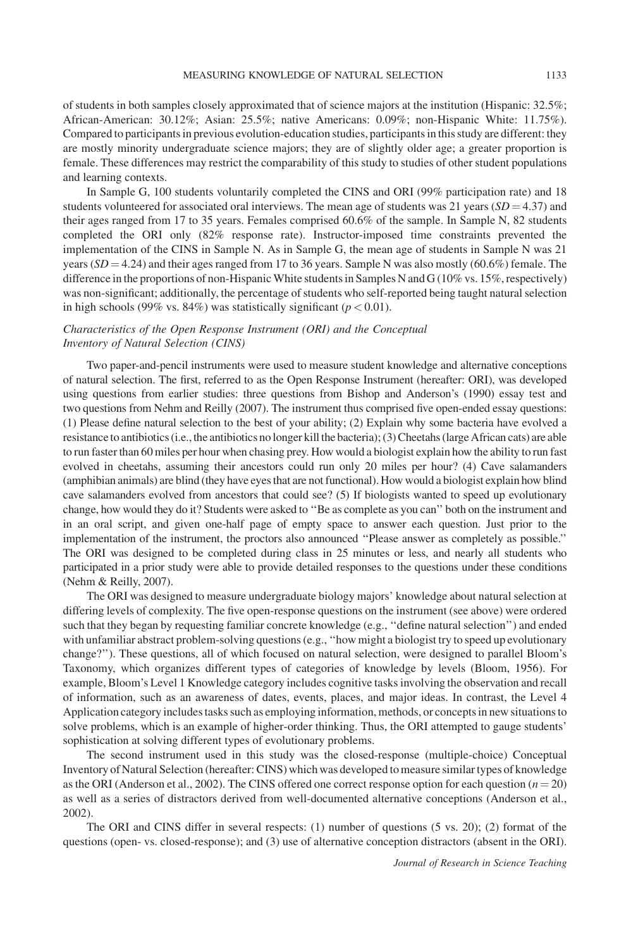of students in both samples closely approximated that of science majors at the institution (Hispanic: 32.5%; African-American: 30.12%; Asian: 25.5%; native Americans: 0.09%; non-Hispanic White: 11.75%). Compared to participants in previous evolution-education studies, participants in this study are different: they are mostly minority undergraduate science majors; they are of slightly older age; a greater proportion is female. These differences may restrict the comparability of this study to studies of other student populations and learning contexts.

In Sample G, 100 students voluntarily completed the CINS and ORI (99% participation rate) and 18 students volunteered for associated oral interviews. The mean age of students was 21 years ( $SD = 4.37$ ) and their ages ranged from 17 to 35 years. Females comprised 60.6% of the sample. In Sample N, 82 students completed the ORI only (82% response rate). Instructor-imposed time constraints prevented the implementation of the CINS in Sample N. As in Sample G, the mean age of students in Sample N was 21 years ( $SD = 4.24$ ) and their ages ranged from 17 to 36 years. Sample N was also mostly (60.6%) female. The difference in the proportions of non-Hispanic White students in Samples N and G (10% vs. 15%, respectively) was non-significant; additionally, the percentage of students who self-reported being taught natural selection in high schools (99% vs. 84%) was statistically significant ( $p < 0.01$ ).

## Characteristics of the Open Response Instrument (ORI) and the Conceptual Inventory of Natural Selection (CINS)

Two paper-and-pencil instruments were used to measure student knowledge and alternative conceptions of natural selection. The first, referred to as the Open Response Instrument (hereafter: ORI), was developed using questions from earlier studies: three questions from Bishop and Anderson's (1990) essay test and two questions from Nehm and Reilly (2007). The instrument thus comprised five open-ended essay questions: (1) Please define natural selection to the best of your ability; (2) Explain why some bacteria have evolved a resistance to antibiotics (i.e., the antibiotics no longer kill the bacteria); (3) Cheetahs (large African cats) are able to run faster than 60 miles per hour when chasing prey. How would a biologist explain how the ability to run fast evolved in cheetahs, assuming their ancestors could run only 20 miles per hour? (4) Cave salamanders (amphibian animals) are blind (they have eyes that are not functional). How would a biologist explain how blind cave salamanders evolved from ancestors that could see? (5) If biologists wanted to speed up evolutionary change, how would they do it? Students were asked to ''Be as complete as you can'' both on the instrument and in an oral script, and given one-half page of empty space to answer each question. Just prior to the implementation of the instrument, the proctors also announced ''Please answer as completely as possible.'' The ORI was designed to be completed during class in 25 minutes or less, and nearly all students who participated in a prior study were able to provide detailed responses to the questions under these conditions (Nehm & Reilly, 2007).

The ORI was designed to measure undergraduate biology majors' knowledge about natural selection at differing levels of complexity. The five open-response questions on the instrument (see above) were ordered such that they began by requesting familiar concrete knowledge (e.g., ''define natural selection'') and ended with unfamiliar abstract problem-solving questions (e.g., "how might a biologist try to speed up evolutionary change?''). These questions, all of which focused on natural selection, were designed to parallel Bloom's Taxonomy, which organizes different types of categories of knowledge by levels (Bloom, 1956). For example, Bloom's Level 1 Knowledge category includes cognitive tasks involving the observation and recall of information, such as an awareness of dates, events, places, and major ideas. In contrast, the Level 4 Application category includes tasks such as employing information, methods, or concepts in new situations to solve problems, which is an example of higher-order thinking. Thus, the ORI attempted to gauge students' sophistication at solving different types of evolutionary problems.

The second instrument used in this study was the closed-response (multiple-choice) Conceptual Inventory of Natural Selection (hereafter: CINS) which was developed to measure similar types of knowledge as the ORI (Anderson et al., 2002). The CINS offered one correct response option for each question ( $n = 20$ ) as well as a series of distractors derived from well-documented alternative conceptions (Anderson et al., 2002).

The ORI and CINS differ in several respects: (1) number of questions (5 vs. 20); (2) format of the questions (open- vs. closed-response); and (3) use of alternative conception distractors (absent in the ORI).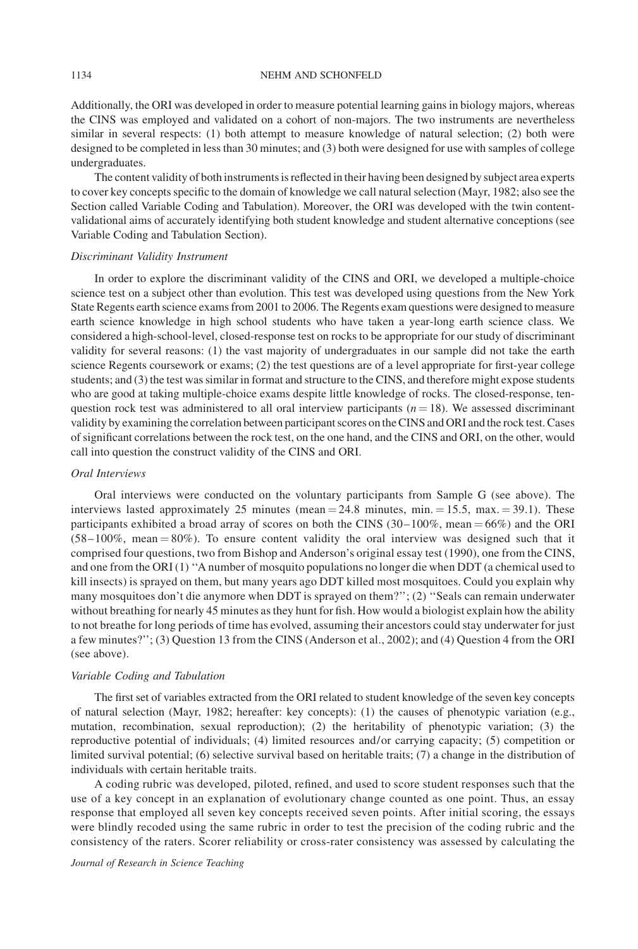Additionally, the ORI was developed in order to measure potential learning gains in biology majors, whereas the CINS was employed and validated on a cohort of non-majors. The two instruments are nevertheless similar in several respects: (1) both attempt to measure knowledge of natural selection; (2) both were designed to be completed in less than 30 minutes; and (3) both were designed for use with samples of college undergraduates.

The content validity of both instruments is reflected in their having been designed by subject area experts to cover key concepts specific to the domain of knowledge we call natural selection (Mayr, 1982; also see the Section called Variable Coding and Tabulation). Moreover, the ORI was developed with the twin contentvalidational aims of accurately identifying both student knowledge and student alternative conceptions (see Variable Coding and Tabulation Section).

## Discriminant Validity Instrument

In order to explore the discriminant validity of the CINS and ORI, we developed a multiple-choice science test on a subject other than evolution. This test was developed using questions from the New York State Regents earth science exams from 2001 to 2006. The Regents exam questions were designed to measure earth science knowledge in high school students who have taken a year-long earth science class. We considered a high-school-level, closed-response test on rocks to be appropriate for our study of discriminant validity for several reasons: (1) the vast majority of undergraduates in our sample did not take the earth science Regents coursework or exams; (2) the test questions are of a level appropriate for first-year college students; and (3) the test was similar in format and structure to the CINS, and therefore might expose students who are good at taking multiple-choice exams despite little knowledge of rocks. The closed-response, tenquestion rock test was administered to all oral interview participants ( $n = 18$ ). We assessed discriminant validity by examining the correlation between participant scores on the CINS and ORI and the rock test. Cases of significant correlations between the rock test, on the one hand, and the CINS and ORI, on the other, would call into question the construct validity of the CINS and ORI.

#### Oral Interviews

Oral interviews were conducted on the voluntary participants from Sample G (see above). The interviews lasted approximately 25 minutes (mean  $=$  24.8 minutes, min.  $=$  15.5, max.  $=$  39.1). These participants exhibited a broad array of scores on both the CINS  $(30-100\%$ , mean = 66%) and the ORI  $(58-100\%)$ , mean = 80%). To ensure content validity the oral interview was designed such that it comprised four questions, two from Bishop and Anderson's original essay test (1990), one from the CINS, and one from the ORI (1) ''A number of mosquito populations no longer die when DDT (a chemical used to kill insects) is sprayed on them, but many years ago DDT killed most mosquitoes. Could you explain why many mosquitoes don't die anymore when DDT is sprayed on them?''; (2) ''Seals can remain underwater without breathing for nearly 45 minutes as they hunt for fish. How would a biologist explain how the ability to not breathe for long periods of time has evolved, assuming their ancestors could stay underwater for just a few minutes?''; (3) Question 13 from the CINS (Anderson et al., 2002); and (4) Question 4 from the ORI (see above).

#### Variable Coding and Tabulation

The first set of variables extracted from the ORI related to student knowledge of the seven key concepts of natural selection (Mayr, 1982; hereafter: key concepts): (1) the causes of phenotypic variation (e.g., mutation, recombination, sexual reproduction); (2) the heritability of phenotypic variation; (3) the reproductive potential of individuals; (4) limited resources and/or carrying capacity; (5) competition or limited survival potential; (6) selective survival based on heritable traits; (7) a change in the distribution of individuals with certain heritable traits.

A coding rubric was developed, piloted, refined, and used to score student responses such that the use of a key concept in an explanation of evolutionary change counted as one point. Thus, an essay response that employed all seven key concepts received seven points. After initial scoring, the essays were blindly recoded using the same rubric in order to test the precision of the coding rubric and the consistency of the raters. Scorer reliability or cross-rater consistency was assessed by calculating the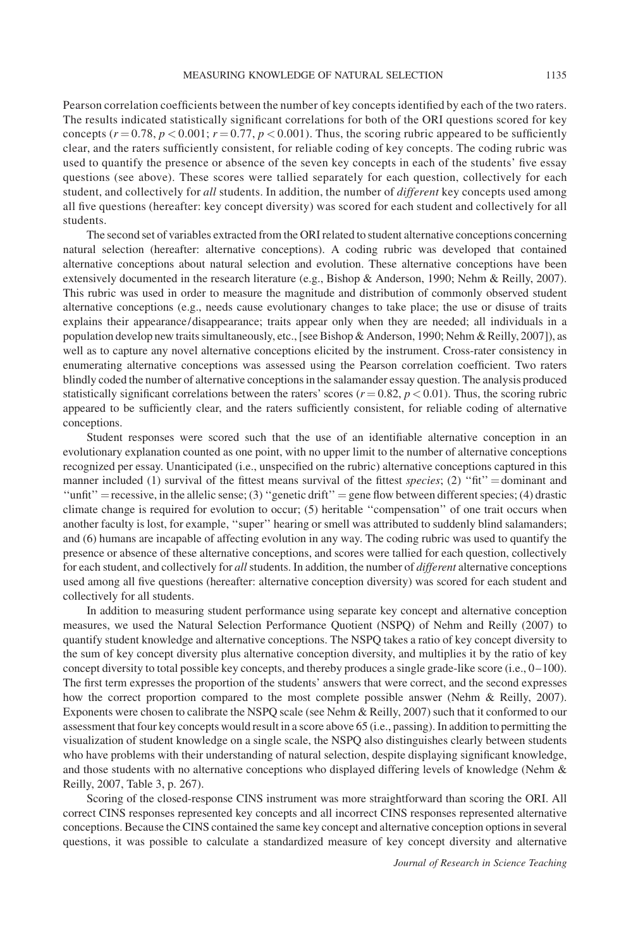Pearson correlation coefficients between the number of key concepts identified by each of the two raters. The results indicated statistically significant correlations for both of the ORI questions scored for key concepts  $(r = 0.78, p < 0.001; r = 0.77, p < 0.001)$ . Thus, the scoring rubric appeared to be sufficiently clear, and the raters sufficiently consistent, for reliable coding of key concepts. The coding rubric was used to quantify the presence or absence of the seven key concepts in each of the students' five essay questions (see above). These scores were tallied separately for each question, collectively for each student, and collectively for all students. In addition, the number of different key concepts used among all five questions (hereafter: key concept diversity) was scored for each student and collectively for all students.

The second set of variables extracted from the ORI related to student alternative conceptions concerning natural selection (hereafter: alternative conceptions). A coding rubric was developed that contained alternative conceptions about natural selection and evolution. These alternative conceptions have been extensively documented in the research literature (e.g., Bishop & Anderson, 1990; Nehm & Reilly, 2007). This rubric was used in order to measure the magnitude and distribution of commonly observed student alternative conceptions (e.g., needs cause evolutionary changes to take place; the use or disuse of traits explains their appearance/disappearance; traits appear only when they are needed; all individuals in a population develop new traits simultaneously, etc., [see Bishop & Anderson, 1990; Nehm & Reilly, 2007]), as well as to capture any novel alternative conceptions elicited by the instrument. Cross-rater consistency in enumerating alternative conceptions was assessed using the Pearson correlation coefficient. Two raters blindly coded the number of alternative conceptions in the salamander essay question. The analysis produced statistically significant correlations between the raters' scores ( $r = 0.82$ ,  $p < 0.01$ ). Thus, the scoring rubric appeared to be sufficiently clear, and the raters sufficiently consistent, for reliable coding of alternative conceptions.

Student responses were scored such that the use of an identifiable alternative conception in an evolutionary explanation counted as one point, with no upper limit to the number of alternative conceptions recognized per essay. Unanticipated (i.e., unspecified on the rubric) alternative conceptions captured in this manner included (1) survival of the fittest means survival of the fittest species; (2) "fit" = dominant and "unfit" = recessive, in the allelic sense; (3) "genetic drift" = gene flow between different species; (4) drastic climate change is required for evolution to occur; (5) heritable ''compensation'' of one trait occurs when another faculty is lost, for example, ''super'' hearing or smell was attributed to suddenly blind salamanders; and (6) humans are incapable of affecting evolution in any way. The coding rubric was used to quantify the presence or absence of these alternative conceptions, and scores were tallied for each question, collectively for each student, and collectively for all students. In addition, the number of different alternative conceptions used among all five questions (hereafter: alternative conception diversity) was scored for each student and collectively for all students.

In addition to measuring student performance using separate key concept and alternative conception measures, we used the Natural Selection Performance Quotient (NSPQ) of Nehm and Reilly (2007) to quantify student knowledge and alternative conceptions. The NSPQ takes a ratio of key concept diversity to the sum of key concept diversity plus alternative conception diversity, and multiplies it by the ratio of key concept diversity to total possible key concepts, and thereby produces a single grade-like score (i.e., 0–100). The first term expresses the proportion of the students' answers that were correct, and the second expresses how the correct proportion compared to the most complete possible answer (Nehm & Reilly, 2007). Exponents were chosen to calibrate the NSPQ scale (see Nehm & Reilly, 2007) such that it conformed to our assessment that four key concepts would result in a score above 65 (i.e., passing). In addition to permitting the visualization of student knowledge on a single scale, the NSPQ also distinguishes clearly between students who have problems with their understanding of natural selection, despite displaying significant knowledge, and those students with no alternative conceptions who displayed differing levels of knowledge (Nehm & Reilly, 2007, Table 3, p. 267).

Scoring of the closed-response CINS instrument was more straightforward than scoring the ORI. All correct CINS responses represented key concepts and all incorrect CINS responses represented alternative conceptions. Because the CINS contained the same key concept and alternative conception options in several questions, it was possible to calculate a standardized measure of key concept diversity and alternative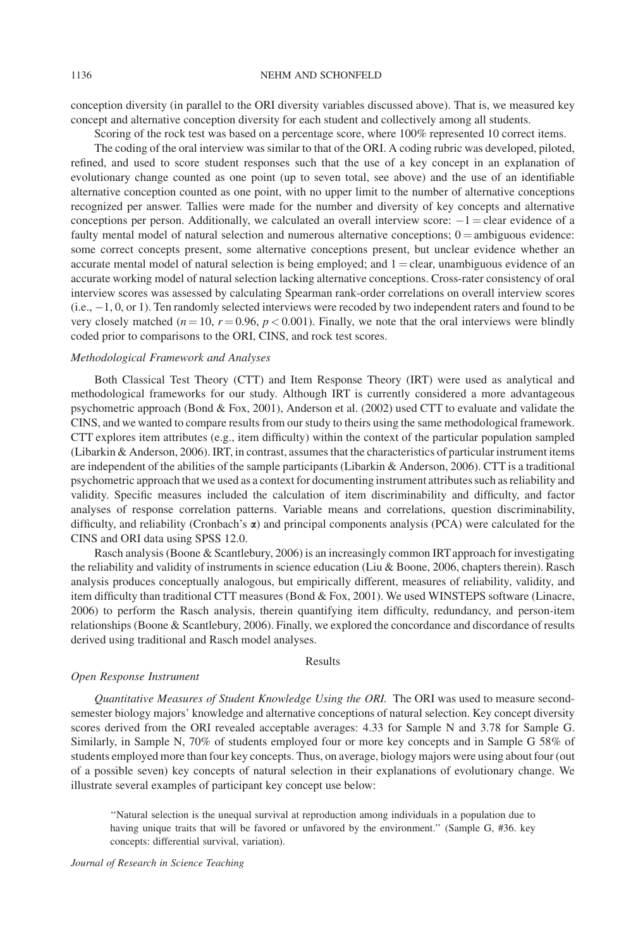conception diversity (in parallel to the ORI diversity variables discussed above). That is, we measured key concept and alternative conception diversity for each student and collectively among all students.

Scoring of the rock test was based on a percentage score, where  $100\%$  represented 10 correct items.

The coding of the oral interview was similar to that of the ORI. A coding rubric was developed, piloted, refined, and used to score student responses such that the use of a key concept in an explanation of evolutionary change counted as one point (up to seven total, see above) and the use of an identifiable alternative conception counted as one point, with no upper limit to the number of alternative conceptions recognized per answer. Tallies were made for the number and diversity of key concepts and alternative conceptions per person. Additionally, we calculated an overall interview score:  $-1$  = clear evidence of a faulty mental model of natural selection and numerous alternative conceptions;  $0 =$  ambiguous evidence: some correct concepts present, some alternative conceptions present, but unclear evidence whether an accurate mental model of natural selection is being employed; and  $1 =$  clear, unambiguous evidence of an accurate working model of natural selection lacking alternative conceptions. Cross-rater consistency of oral interview scores was assessed by calculating Spearman rank-order correlations on overall interview scores  $(i.e.,  $-1, 0,$  or 1). Ten randomly selected interviews were recoded by two independent raters and found to be$ very closely matched ( $n = 10$ ,  $r = 0.96$ ,  $p < 0.001$ ). Finally, we note that the oral interviews were blindly coded prior to comparisons to the ORI, CINS, and rock test scores.

#### Methodological Framework and Analyses

Both Classical Test Theory (CTT) and Item Response Theory (IRT) were used as analytical and methodological frameworks for our study. Although IRT is currently considered a more advantageous psychometric approach (Bond & Fox, 2001), Anderson et al. (2002) used CTT to evaluate and validate the CINS, and we wanted to compare results from our study to theirs using the same methodological framework. CTT explores item attributes (e.g., item difficulty) within the context of the particular population sampled (Libarkin & Anderson, 2006). IRT, in contrast, assumes that the characteristics of particular instrument items are independent of the abilities of the sample participants (Libarkin & Anderson, 2006). CTT is a traditional psychometric approach that we used as a context for documenting instrument attributes such as reliability and validity. Specific measures included the calculation of item discriminability and difficulty, and factor analyses of response correlation patterns. Variable means and correlations, question discriminability, difficulty, and reliability (Cronbach's  $\alpha$ ) and principal components analysis (PCA) were calculated for the CINS and ORI data using SPSS 12.0.

Rasch analysis (Boone & Scantlebury, 2006) is an increasingly common IRTapproach for investigating the reliability and validity of instruments in science education (Liu & Boone, 2006, chapters therein). Rasch analysis produces conceptually analogous, but empirically different, measures of reliability, validity, and item difficulty than traditional CTT measures (Bond & Fox, 2001). We used WINSTEPS software (Linacre, 2006) to perform the Rasch analysis, therein quantifying item difficulty, redundancy, and person-item relationships (Boone & Scantlebury, 2006). Finally, we explored the concordance and discordance of results derived using traditional and Rasch model analyses.

#### Results

#### Open Response Instrument

Quantitative Measures of Student Knowledge Using the ORI. The ORI was used to measure secondsemester biology majors' knowledge and alternative conceptions of natural selection. Key concept diversity scores derived from the ORI revealed acceptable averages: 4.33 for Sample N and 3.78 for Sample G. Similarly, in Sample N, 70% of students employed four or more key concepts and in Sample G 58% of students employed more than four key concepts. Thus, on average, biology majors were using about four (out of a possible seven) key concepts of natural selection in their explanations of evolutionary change. We illustrate several examples of participant key concept use below:

''Natural selection is the unequal survival at reproduction among individuals in a population due to having unique traits that will be favored or unfavored by the environment.'' (Sample G, #36. key concepts: differential survival, variation).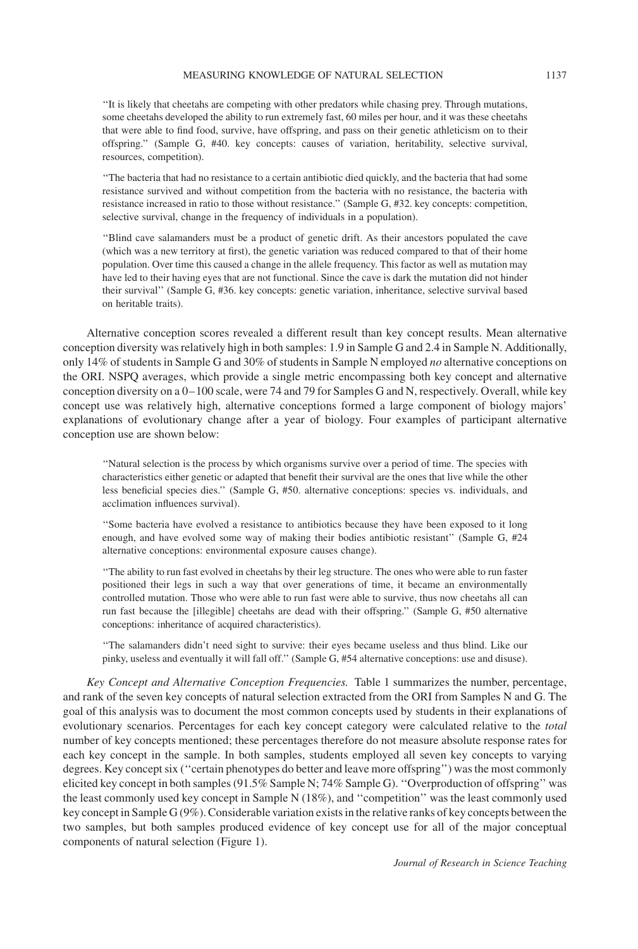''It is likely that cheetahs are competing with other predators while chasing prey. Through mutations, some cheetahs developed the ability to run extremely fast, 60 miles per hour, and it was these cheetahs that were able to find food, survive, have offspring, and pass on their genetic athleticism on to their offspring.'' (Sample G, #40. key concepts: causes of variation, heritability, selective survival, resources, competition).

''The bacteria that had no resistance to a certain antibiotic died quickly, and the bacteria that had some resistance survived and without competition from the bacteria with no resistance, the bacteria with resistance increased in ratio to those without resistance.'' (Sample G, #32. key concepts: competition, selective survival, change in the frequency of individuals in a population).

''Blind cave salamanders must be a product of genetic drift. As their ancestors populated the cave (which was a new territory at first), the genetic variation was reduced compared to that of their home population. Over time this caused a change in the allele frequency. This factor as well as mutation may have led to their having eyes that are not functional. Since the cave is dark the mutation did not hinder their survival'' (Sample G, #36. key concepts: genetic variation, inheritance, selective survival based on heritable traits).

Alternative conception scores revealed a different result than key concept results. Mean alternative conception diversity was relatively high in both samples: 1.9 in Sample G and 2.4 in Sample N. Additionally, only 14% of students in Sample G and 30% of students in Sample N employed no alternative conceptions on the ORI. NSPQ averages, which provide a single metric encompassing both key concept and alternative conception diversity on a 0–100 scale, were 74 and 79 for Samples G and N, respectively. Overall, while key concept use was relatively high, alternative conceptions formed a large component of biology majors' explanations of evolutionary change after a year of biology. Four examples of participant alternative conception use are shown below:

''Natural selection is the process by which organisms survive over a period of time. The species with characteristics either genetic or adapted that benefit their survival are the ones that live while the other less beneficial species dies.'' (Sample G, #50. alternative conceptions: species vs. individuals, and acclimation influences survival).

''Some bacteria have evolved a resistance to antibiotics because they have been exposed to it long enough, and have evolved some way of making their bodies antibiotic resistant'' (Sample G, #24 alternative conceptions: environmental exposure causes change).

''The ability to run fast evolved in cheetahs by their leg structure. The ones who were able to run faster positioned their legs in such a way that over generations of time, it became an environmentally controlled mutation. Those who were able to run fast were able to survive, thus now cheetahs all can run fast because the [illegible] cheetahs are dead with their offspring.'' (Sample G, #50 alternative conceptions: inheritance of acquired characteristics).

''The salamanders didn't need sight to survive: their eyes became useless and thus blind. Like our pinky, useless and eventually it will fall off.'' (Sample G, #54 alternative conceptions: use and disuse).

Key Concept and Alternative Conception Frequencies. Table 1 summarizes the number, percentage, and rank of the seven key concepts of natural selection extracted from the ORI from Samples N and G. The goal of this analysis was to document the most common concepts used by students in their explanations of evolutionary scenarios. Percentages for each key concept category were calculated relative to the total number of key concepts mentioned; these percentages therefore do not measure absolute response rates for each key concept in the sample. In both samples, students employed all seven key concepts to varying degrees. Key concept six (''certain phenotypes do better and leave more offspring'') was the most commonly elicited key concept in both samples (91.5% Sample N; 74% Sample G). ''Overproduction of offspring'' was the least commonly used key concept in Sample N (18%), and ''competition'' was the least commonly used key concept in Sample G (9%). Considerable variation exists in the relative ranks of key concepts between the two samples, but both samples produced evidence of key concept use for all of the major conceptual components of natural selection (Figure 1).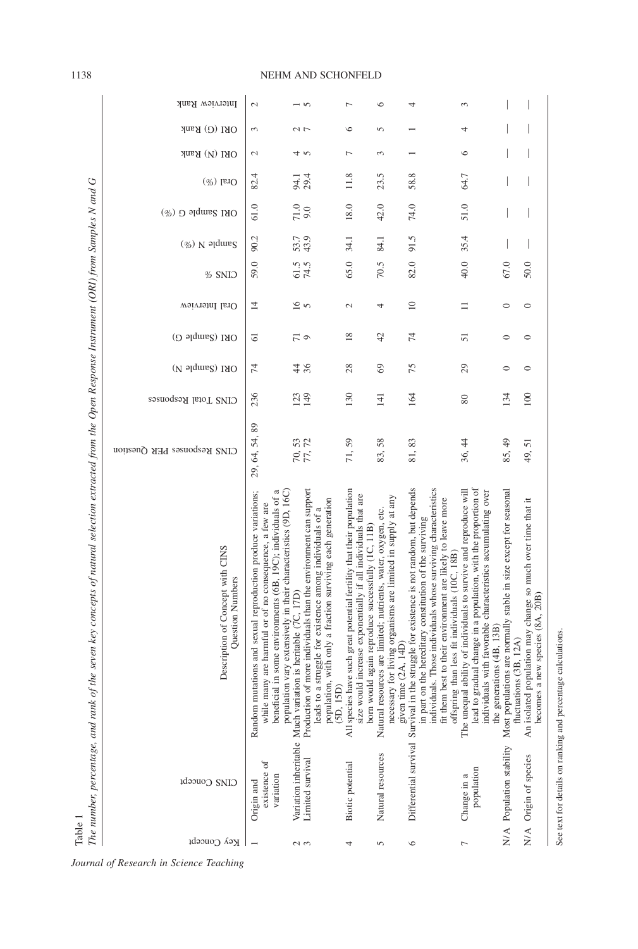|                                                                                                                    | Interview Rank<br>ORI (G) Rank<br>ORI (V) Rank<br>$(X)$ lero<br>ORI Sample G $(\%)$ | 2<br>3<br>2<br>4<br>82.<br>61.0                                                                                                                                                          | ė<br>$\sim$ $\sim$<br>$\sqrt{2}$<br>4<br>29.4<br>94.1<br>71.0<br>9.0                                                                                                                                                                                                                                                                      | $\circ$<br>Γ<br>11.8<br>18.0                                                                                                                                                                | ७<br>5<br>3<br>23.5<br>42.0                                                                                                                          | 58.8<br>74.0                                                                                                                                                                                                                                                                           | 3<br>4<br>७<br>64.7<br>51.0                                                                                                                                                                                                                          |                                                                                                                         |                                                                                                   |
|--------------------------------------------------------------------------------------------------------------------|-------------------------------------------------------------------------------------|------------------------------------------------------------------------------------------------------------------------------------------------------------------------------------------|-------------------------------------------------------------------------------------------------------------------------------------------------------------------------------------------------------------------------------------------------------------------------------------------------------------------------------------------|---------------------------------------------------------------------------------------------------------------------------------------------------------------------------------------------|------------------------------------------------------------------------------------------------------------------------------------------------------|----------------------------------------------------------------------------------------------------------------------------------------------------------------------------------------------------------------------------------------------------------------------------------------|------------------------------------------------------------------------------------------------------------------------------------------------------------------------------------------------------------------------------------------------------|-------------------------------------------------------------------------------------------------------------------------|---------------------------------------------------------------------------------------------------|
|                                                                                                                    | $(\%)$ N əlqma $S$                                                                  | 90.2                                                                                                                                                                                     | 53.7<br>43.9                                                                                                                                                                                                                                                                                                                              | 34.1                                                                                                                                                                                        | 84.1                                                                                                                                                 | 91.5                                                                                                                                                                                                                                                                                   | 35.4                                                                                                                                                                                                                                                 |                                                                                                                         |                                                                                                   |
|                                                                                                                    | % SNIO<br><b>Waivich Interview</b>                                                  | 59.0<br>$\overline{4}$                                                                                                                                                                   | 61.5<br>74.5<br>$\frac{6}{3}$                                                                                                                                                                                                                                                                                                             | 65.0<br>$\sim$                                                                                                                                                                              | 70.5<br>4                                                                                                                                            | 82.0<br>$\supseteq$                                                                                                                                                                                                                                                                    | 40.0<br>$\equiv$                                                                                                                                                                                                                                     | 67.0<br>$\circ$                                                                                                         | 50.0<br>0                                                                                         |
|                                                                                                                    | ORI (Sample G)                                                                      | ଟ                                                                                                                                                                                        | ه ۳                                                                                                                                                                                                                                                                                                                                       | $\overline{18}$                                                                                                                                                                             | 42                                                                                                                                                   | $\overline{7}$                                                                                                                                                                                                                                                                         | 51                                                                                                                                                                                                                                                   | $\circ$                                                                                                                 | 0                                                                                                 |
|                                                                                                                    | ORI (Sample N)                                                                      | 74                                                                                                                                                                                       | $4\%$                                                                                                                                                                                                                                                                                                                                     | 28                                                                                                                                                                                          | $\odot$                                                                                                                                              | 75                                                                                                                                                                                                                                                                                     | $\mathfrak{D}$                                                                                                                                                                                                                                       | $\circ$                                                                                                                 | 0                                                                                                 |
|                                                                                                                    | CINS Total Responses                                                                | 236                                                                                                                                                                                      | 123                                                                                                                                                                                                                                                                                                                                       | 130                                                                                                                                                                                         | 141                                                                                                                                                  | 164                                                                                                                                                                                                                                                                                    | $\pmb{80}$                                                                                                                                                                                                                                           | 134                                                                                                                     | 100                                                                                               |
|                                                                                                                    | CINS Responses PER Question                                                         | 29, 64, 54, 89                                                                                                                                                                           | $\frac{70}{77}$ , 72                                                                                                                                                                                                                                                                                                                      | 71,59                                                                                                                                                                                       | 58<br>83,                                                                                                                                            | 81, 83                                                                                                                                                                                                                                                                                 | 36, 44                                                                                                                                                                                                                                               | 85, 49                                                                                                                  | 49, 51                                                                                            |
| the seven key concepts of natural selection extracted from the Open Response Instrument (ORI) from Samples N and G | Description of Concept with CINS<br>Question Numbers                                | in some environments (6B, 19C); individuals of a<br>Random mutations and sexual reproduction produce variations;<br>while many are harmful or of no consequence, a few are<br>beneficial | Production of more individuals than the environment can support<br>population vary extensively in their characteristics (9D, 16C)<br>population, with only a fraction surviving each generation<br>struggle for existence among individuals of a<br>Variation inheritable Much variation is heritable (7C, 17D)<br>leads to a<br>(5D, 15D | All species have such great potential fertility that their population<br>size would increase exponentially if all individuals that are<br>born would again reproduce successfully (1C, 11B) | necessary for living organisms are limited in supply at any<br>Natural resources are limited; nutrients, water, oxygen, etc.<br>given time (2A, 14D) | individuals. Those individuals whose surviving characteristics<br>Differential survival Survival in the struggle for existence is not random, but depends<br>fit them best to their environment are likely to leave more<br>the hereditary constitution of the surviving<br>in part on | lead to gradual change in a population, with the proportion of<br>The unequal ability of individuals to survive and reproduce will<br>individuals with favorable characteristics accumulating over<br>offspring than less fit individuals (10C, 18B) | Most populations are normally stable in size except for seasonal<br>the generations (4B, 13B)<br>fluctuations (3B, 12A) | An isolated population may change so much over time that it<br>a new species (8A, 20B)<br>becomes |
| The number, percentage, and rank of                                                                                | CINS Concept                                                                        | existence of<br>variation<br>Origin and                                                                                                                                                  | Limited survival                                                                                                                                                                                                                                                                                                                          | Biotic potential                                                                                                                                                                            | Natural resources                                                                                                                                    |                                                                                                                                                                                                                                                                                        | population<br>Change in a                                                                                                                                                                                                                            | N/A Population stability                                                                                                | N/A Origin of species                                                                             |
| Table                                                                                                              | Key Concept                                                                         |                                                                                                                                                                                          | $\sim$                                                                                                                                                                                                                                                                                                                                    | 4                                                                                                                                                                                           | 5                                                                                                                                                    | $\circ$                                                                                                                                                                                                                                                                                | 1                                                                                                                                                                                                                                                    |                                                                                                                         |                                                                                                   |

See text for details on ranking and percentage calculations. See text for details on ranking and percentage calculations.

# 1138 NEHM AND SCHONFELD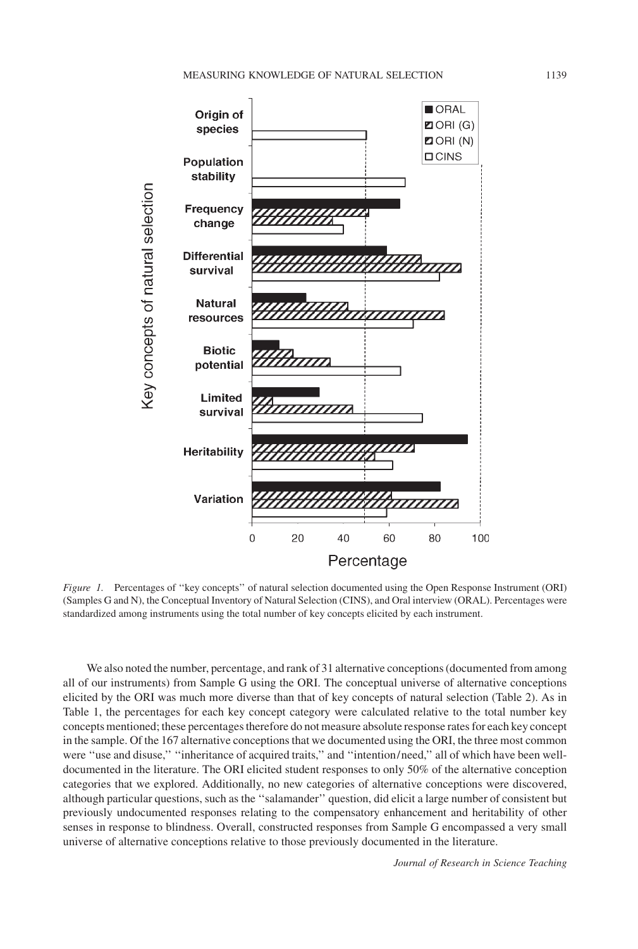

Figure 1. Percentages of "key concepts" of natural selection documented using the Open Response Instrument (ORI) (Samples G and N), the Conceptual Inventory of Natural Selection (CINS), and Oral interview (ORAL). Percentages were standardized among instruments using the total number of key concepts elicited by each instrument.

We also noted the number, percentage, and rank of 31 alternative conceptions (documented from among all of our instruments) from Sample G using the ORI. The conceptual universe of alternative conceptions elicited by the ORI was much more diverse than that of key concepts of natural selection (Table 2). As in Table 1, the percentages for each key concept category were calculated relative to the total number key concepts mentioned; these percentages therefore do not measure absolute response rates for each key concept in the sample. Of the 167 alternative conceptions that we documented using the ORI, the three most common were ''use and disuse,'' ''inheritance of acquired traits,'' and ''intention/need,'' all of which have been welldocumented in the literature. The ORI elicited student responses to only 50% of the alternative conception categories that we explored. Additionally, no new categories of alternative conceptions were discovered, although particular questions, such as the ''salamander'' question, did elicit a large number of consistent but previously undocumented responses relating to the compensatory enhancement and heritability of other senses in response to blindness. Overall, constructed responses from Sample G encompassed a very small universe of alternative conceptions relative to those previously documented in the literature.

Journal of Research in Science Teaching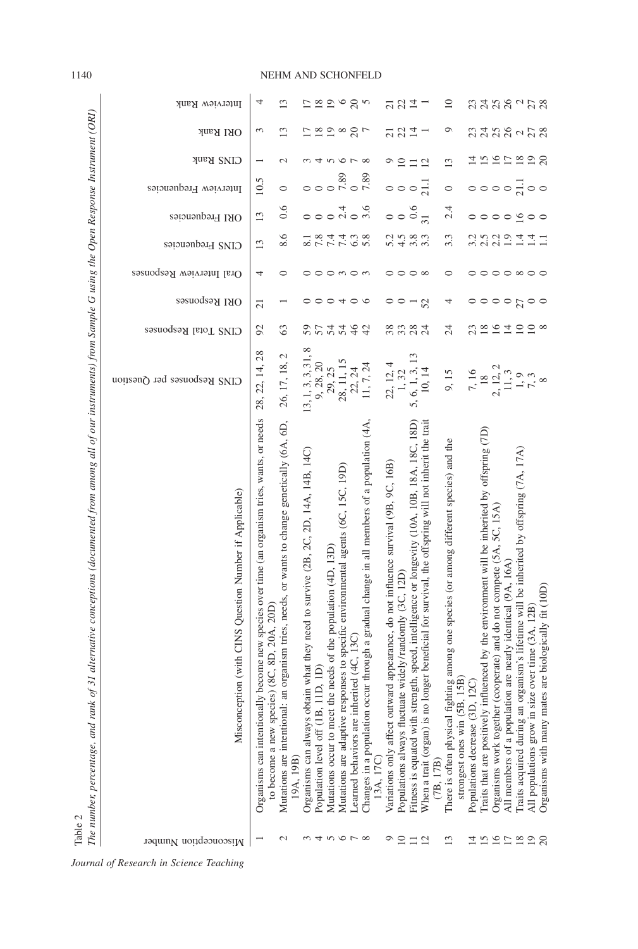| Misconception (with CINS Question Number if Applicable)<br>The number, percentage, and rank of<br>Table 2 | 31 alternative conceptions (documented from among all of our instruments) from Sample G using the Open Response Instrument (ORI) | CINS Responses per Question                                         | CINS Total Responses  | ORI Responses          | Oral Interview Responses | CINS Frequencies         | ORI Frequencies | Interview Frequencies                   | <b>CINS Rank</b>                                                 | <b>ORI Rank</b> | Interview Rank  |
|-----------------------------------------------------------------------------------------------------------|----------------------------------------------------------------------------------------------------------------------------------|---------------------------------------------------------------------|-----------------------|------------------------|--------------------------|--------------------------|-----------------|-----------------------------------------|------------------------------------------------------------------|-----------------|-----------------|
| to become a new species)                                                                                  | Organisms can intentionally become new species over time (an organism tries, wants, or needs<br>8C, 8D, 20A, 20D)                | 28<br>28, 22, 14,                                                   | $\mathcal{L}$         | $\overline{21}$        | 4                        | 13                       | 13              | 10.5                                    | $\overline{ }$                                                   | $\epsilon$      | 4               |
| Mutations are intentional: an<br>19A, 19B)                                                                | organism tries, needs, or wants to change genetically (6A, 6D,                                                                   | 2<br>26, 17, 18,                                                    | 63                    |                        | 0                        | 8.6                      | 0.6             | $\circ$                                 | $\mathcal{L}$                                                    | $\mathbf{13}$   | $\mathbf{13}$   |
| Organisms can always obtain                                                                               | what they need to survive $(2B, 2C, 2D, 14A, 14B, 14C)$                                                                          | 13, 1, 3, 3, 31, 8                                                  | 59                    |                        |                          | 8.1                      |                 |                                         |                                                                  | 17              |                 |
| Mutations occur to meet the needs of the population (4D, 13D)<br>Population level off (1B, 11D            |                                                                                                                                  | 9, 28, 20<br>29, 25                                                 | 544                   | 000406                 | ooomom                   | 7.8<br>7.4               | 0000000000      | $\circ$                                 | うすうよて8                                                           | 22887           | 220000          |
|                                                                                                           | Mutations are adaptive responses to specific environmental agents (6C, 15C, 19D)                                                 | 28, 11, 15                                                          |                       |                        |                          | 7.38                     |                 | 7.89                                    |                                                                  |                 |                 |
| earned behaviors are inherited (4C, 13C)                                                                  |                                                                                                                                  | 22, 24                                                              | 492                   |                        |                          |                          |                 | $\circ$                                 |                                                                  |                 |                 |
| Changes in a population occur<br>13A, 17C)                                                                | r through a gradual change in all members of a population (4A,                                                                   | 11, 7, 24                                                           |                       |                        |                          |                          |                 | 7.89                                    |                                                                  |                 |                 |
| Variations only affect outward                                                                            | appearance, do not influence survival (9B, 9C, 16B)                                                                              | 22, 12, 4                                                           | 38                    | $\circ$ $\circ$ $\sim$ |                          | 5.2                      | 。。<br>。。        | $\circ \circ \circ$                     | Ó                                                                | 737             | 721             |
| Populations always fluctuate widely/randomly (3C, 12D)                                                    |                                                                                                                                  | 1,32                                                                |                       |                        |                          |                          |                 |                                         | $\overline{10}$                                                  |                 |                 |
|                                                                                                           | Fitness is equated with strength, speed, intelligence or longevity (10A, 10B, 18A, 18C, 18D)                                     | 13<br>5, 6, 1, 3,                                                   | $\frac{33}{28}$       |                        | $\circ\circ\circ$        | $4.89$ co.<br>$4.89$ co. |                 |                                         | $\Box$                                                           |                 |                 |
| When a trait (organ) is no long<br>(7B, 17B)                                                              | ger beneficial for survival, the offspring will not inherit the trait                                                            | 10, 14                                                              | $^{24}$               | 52                     |                          |                          | $\overline{31}$ | $\overline{21}$                         | 12                                                               |                 |                 |
| strongest ones win (5B, 15B)                                                                              | There is often physical fighting among one species (or among different species) and the                                          | 9,15                                                                | $\overline{24}$       | 4                      | $\circ$                  | 3.3                      | 2.4             | $\circ$                                 | 13                                                               | Q               | $\overline{10}$ |
| Populations decrease (3D, 12C)                                                                            |                                                                                                                                  | 7, 16                                                               | 23                    |                        |                          |                          |                 |                                         |                                                                  |                 |                 |
|                                                                                                           | Traits that are positively influenced by the environment will be inherited by offspring (7D)                                     |                                                                     | $\frac{8}{16}$        |                        |                          |                          |                 |                                         |                                                                  |                 |                 |
|                                                                                                           | Organisms work together (cooperate) and do not compete (5A, 5C, 15A)                                                             |                                                                     |                       |                        |                          |                          |                 |                                         |                                                                  |                 |                 |
| All members of a population are nearly identical (9A, 16A)                                                |                                                                                                                                  |                                                                     | $\overline{14}$       | 0000000                |                          |                          |                 |                                         | $\begin{array}{c}\n\Xi \subseteq \Xi \subseteq \Xi\n\end{array}$ |                 |                 |
|                                                                                                           | Traits acquired during an organism's lifetime will be inherited by offspring (7A, 17A)                                           |                                                                     | $\overline{10}$       |                        |                          | 1.4                      |                 |                                         |                                                                  |                 |                 |
| All populations grow in size over time (3A, 12B)                                                          |                                                                                                                                  | $\begin{array}{c} 18 \\ 2, 12, 2 \\ 11, 3 \\ 1, 9 \\ 8 \end{array}$ | $\overline{a} \times$ | $\circ$                | 0000000                  | $\frac{4}{11}$           | 0000900         | $\circ \circ \circ \vec{a} \circ \circ$ | $\frac{9}{20}$                                                   | <b>3338258</b>  | 3<br>2222222    |
| Organisms with many mates are biologically fit (10D)                                                      |                                                                                                                                  |                                                                     |                       |                        |                          |                          |                 |                                         |                                                                  |                 |                 |

Journal of Research in Science Teaching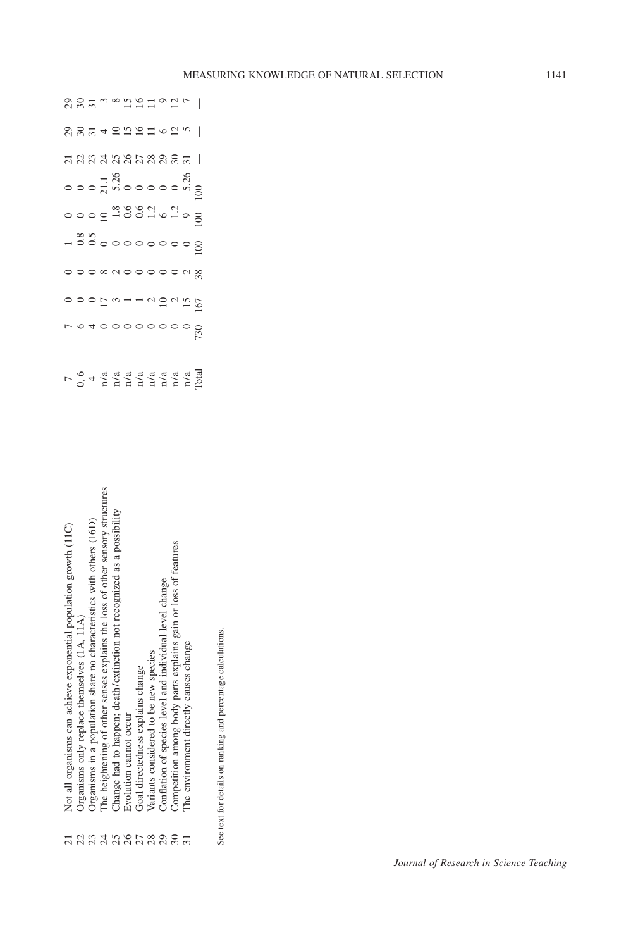| ಸ                        | ential population growth (11C<br>Not all organisms can achieve expone      |                           |     |  |                         |         |    | 29 |  |
|--------------------------|----------------------------------------------------------------------------|---------------------------|-----|--|-------------------------|---------|----|----|--|
|                          | <b>Ives</b><br>Organisms only replace themsel                              |                           |     |  |                         |         |    |    |  |
| Z                        | haracteristics with others (16D)<br>Organisms in a population share        |                           |     |  |                         |         |    |    |  |
| $\overline{\mathcal{L}}$ | explains the loss of other sensory stru<br>The heightening of other senses |                           |     |  |                         | 21.1    |    |    |  |
| 25                       | t recognized as a possibili<br>Change had to happen; death/extinct         |                           |     |  | $1.8\,$                 | 5.26    | 25 |    |  |
| 26                       | Evolution cannot occur                                                     | $\frac{a}{a} \frac{a}{a}$ |     |  | $0.6$<br>$0.6$<br>$1.2$ |         | 26 |    |  |
| 27                       | Goal directedness explains chan                                            |                           |     |  |                         | $\circ$ | 27 |    |  |
| 28                       | Variants considered to be new s-                                           | n/a                       |     |  |                         |         | 28 |    |  |
| 29                       | Conflation of species-level and                                            | n/a                       |     |  |                         |         |    |    |  |
| $\Im$                    | Competition among body parts                                               | n/a                       |     |  |                         |         | 30 |    |  |
|                          | The environment directly cause.                                            | n/a                       |     |  |                         | 5.26    |    |    |  |
|                          |                                                                            | Tota                      | 730 |  | $\otimes$               |         |    |    |  |
|                          |                                                                            |                           |     |  |                         |         |    |    |  |

See text for details on ranking and percentage calculations. See text for details on ranking and percentage calculations.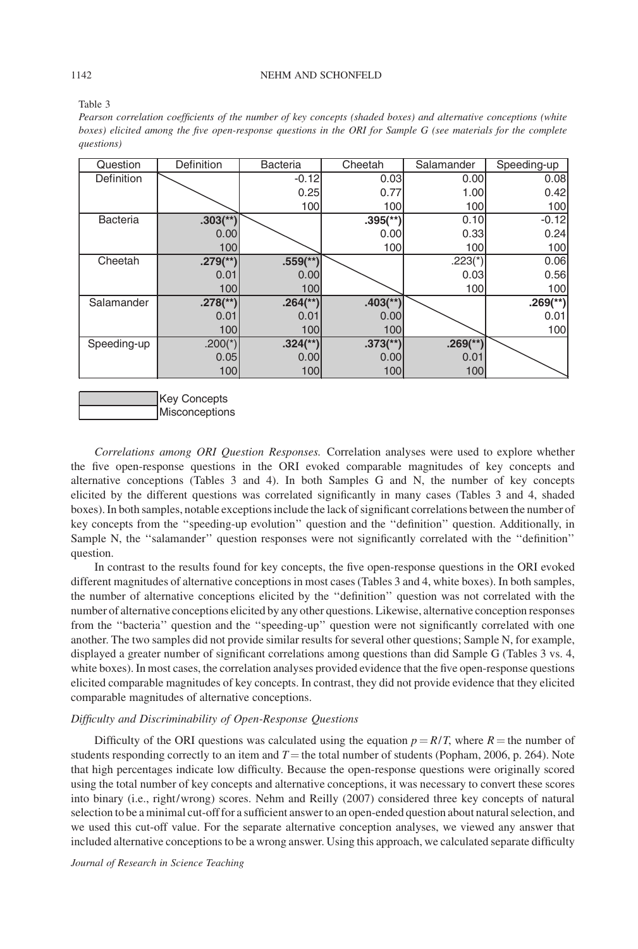|  | u. |  |
|--|----|--|
|  |    |  |
|  |    |  |

Table 3

Pearson correlation coefficients of the number of key concepts (shaded boxes) and alternative conceptions (white boxes) elicited among the five open-response questions in the ORI for Sample G (see materials for the complete questions)

| Question        | Definition               | <b>Bacteria</b>        | Cheetah                | Salamander             | Speeding-up             |
|-----------------|--------------------------|------------------------|------------------------|------------------------|-------------------------|
| Definition      |                          | $-0.12$                | 0.03                   | 0.00                   | 0.08                    |
|                 |                          | 0.25                   | 0.77                   | 1.00                   | 0.42                    |
|                 |                          | 100 <sub>l</sub>       | 100                    | 100                    | 100                     |
| <b>Bacteria</b> | $.303$ <sup>(**)</sup>   |                        | $.395$ <sup>(**)</sup> | 0.10                   | $-0.12$                 |
|                 | 0.00                     |                        | 0.00                   | 0.33                   | 0.24                    |
|                 | 100                      |                        | 100                    | 100                    | 100                     |
| Cheetah         | $.279$ <sup>**</sup> )   | $.559$ <sup>(**)</sup> |                        | $.223(*)$              | 0.06                    |
|                 | 0.01                     | 0.00                   |                        | 0.03                   | 0.56                    |
|                 | 100 <sub>l</sub>         | 100                    |                        | 100                    | 100                     |
| Salamander      | $.278$ <sup>(**)</sup> ) | $.264$ <sup>(**)</sup> | $.403$ (**)            |                        | $.269$ <sup>(**</sup> ) |
|                 | 0.01                     | 0.01                   | 0.00                   |                        | 0.01                    |
|                 | 100                      | 100                    | 100                    |                        | 100l                    |
| Speeding-up     | $.200(*)$                | $.324$ <sup>(**)</sup> | $.373$ <sup>(**)</sup> | $.269$ <sup>(**)</sup> |                         |
|                 | 0.05                     | 0.00                   | 0.00                   | 0.01                   |                         |
|                 | 100 <sub>l</sub>         | 100                    | 100                    | 100                    |                         |
|                 |                          |                        |                        |                        |                         |

Key Concepts Misconceptions

Correlations among ORI Question Responses. Correlation analyses were used to explore whether the five open-response questions in the ORI evoked comparable magnitudes of key concepts and alternative conceptions (Tables 3 and 4). In both Samples G and N, the number of key concepts elicited by the different questions was correlated significantly in many cases (Tables 3 and 4, shaded boxes). In both samples, notable exceptions include the lack of significant correlations between the number of key concepts from the ''speeding-up evolution'' question and the ''definition'' question. Additionally, in Sample N, the ''salamander'' question responses were not significantly correlated with the ''definition'' question.

In contrast to the results found for key concepts, the five open-response questions in the ORI evoked different magnitudes of alternative conceptions in most cases (Tables 3 and 4, white boxes). In both samples, the number of alternative conceptions elicited by the ''definition'' question was not correlated with the number of alternative conceptions elicited by any other questions. Likewise, alternative conception responses from the ''bacteria'' question and the ''speeding-up'' question were not significantly correlated with one another. The two samples did not provide similar results for several other questions; Sample N, for example, displayed a greater number of significant correlations among questions than did Sample G (Tables 3 vs. 4, white boxes). In most cases, the correlation analyses provided evidence that the five open-response questions elicited comparable magnitudes of key concepts. In contrast, they did not provide evidence that they elicited comparable magnitudes of alternative conceptions.

## Difficulty and Discriminability of Open-Response Questions

Difficulty of the ORI questions was calculated using the equation  $p = R/T$ , where  $R =$  the number of students responding correctly to an item and  $T =$  the total number of students (Popham, 2006, p. 264). Note that high percentages indicate low difficulty. Because the open-response questions were originally scored using the total number of key concepts and alternative conceptions, it was necessary to convert these scores into binary (i.e., right/wrong) scores. Nehm and Reilly (2007) considered three key concepts of natural selection to be a minimal cut-off for a sufficient answer to an open-ended question about natural selection, and we used this cut-off value. For the separate alternative conception analyses, we viewed any answer that included alternative conceptions to be a wrong answer. Using this approach, we calculated separate difficulty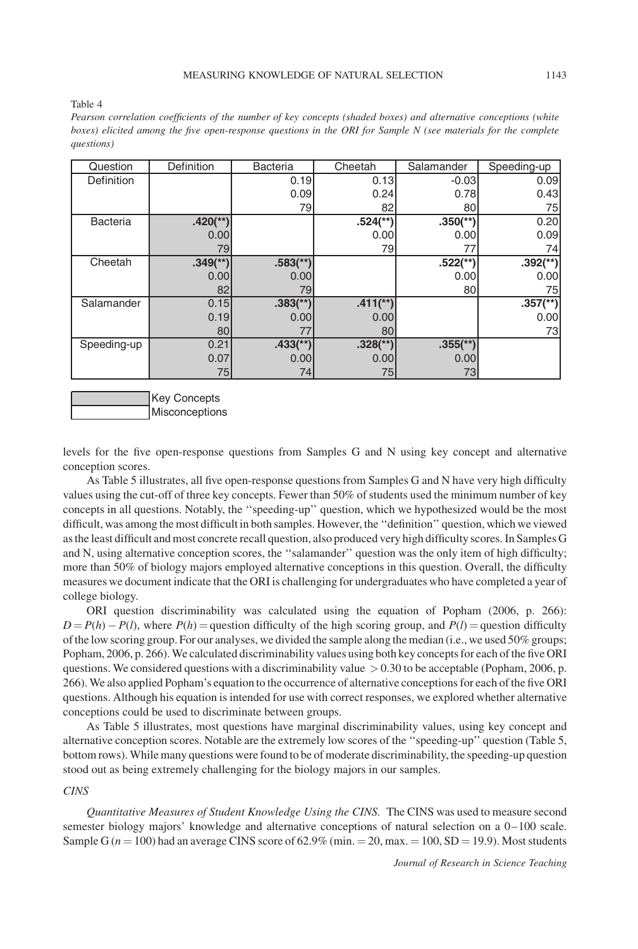Table 4

Pearson correlation coefficients of the number of key concepts (shaded boxes) and alternative conceptions (white boxes) elicited among the five open-response questions in the ORI for Sample N (see materials for the complete questions)

| Question        | Definition             | <b>Bacteria</b>        | Cheetah                | Salamander  | Speeding-up              |
|-----------------|------------------------|------------------------|------------------------|-------------|--------------------------|
| Definition      |                        | 0.19                   | 0.13                   | $-0.03$     | 0.09                     |
|                 |                        | 0.09                   | 0.24                   | 0.78        | 0.43                     |
|                 |                        | 79                     | 82                     | 80          | 75I                      |
| <b>Bacteria</b> | $.420$ (**)            |                        | $.524$ <sup>(**)</sup> | $.350$ (**) | 0.20                     |
|                 | 0.00                   |                        | 0.00                   | 0.00        | 0.09                     |
|                 | 79                     |                        | 79                     | 77          | 74I                      |
| Cheetah         | $.349$ <sup>(**)</sup> | $.583$ <sup>(**)</sup> |                        | $.522$ (**) | $.392$ <sup>(**)</sup> ) |
|                 | 0.00                   | 0.00                   |                        | 0.00        | 0.00                     |
|                 | 82                     | 79                     |                        | 80          | 75                       |
| Salamander      | 0.15                   | $.383$ <sup>(**)</sup> | $.411$ (**)            |             | $.357$ (**)              |
|                 | 0.19                   | 0.00                   | 0.00                   |             | 0.00                     |
|                 | 80                     | 77                     | 80                     |             | 73                       |
| Speeding-up     | 0.21                   | $.433$ (**)            | $.328$ <sup>(**)</sup> | $.355$ (**) |                          |
|                 | 0.07                   | 0.00                   | 0.00                   | 0.00        |                          |
|                 | 75                     | 74                     | 75                     | 73I         |                          |



levels for the five open-response questions from Samples G and N using key concept and alternative conception scores.

As Table 5 illustrates, all five open-response questions from Samples G and N have very high difficulty values using the cut-off of three key concepts. Fewer than 50% of students used the minimum number of key concepts in all questions. Notably, the ''speeding-up'' question, which we hypothesized would be the most difficult, was among the most difficult in both samples. However, the ''definition'' question, which we viewed as the least difficult and most concrete recall question, also produced very high difficulty scores. In Samples G and N, using alternative conception scores, the ''salamander'' question was the only item of high difficulty; more than 50% of biology majors employed alternative conceptions in this question. Overall, the difficulty measures we document indicate that the ORI is challenging for undergraduates who have completed a year of college biology.

ORI question discriminability was calculated using the equation of Popham (2006, p. 266):  $D = P(h) - P(l)$ , where  $P(h)$  = question difficulty of the high scoring group, and  $P(l)$  = question difficulty of the low scoring group. For our analyses, we divided the sample along the median (i.e., we used 50% groups; Popham, 2006, p. 266). We calculated discriminability values using both key concepts for each of the five ORI questions. We considered questions with a discriminability value  $> 0.30$  to be acceptable (Popham, 2006, p. 266). We also applied Popham's equation to the occurrence of alternative conceptions for each of the five ORI questions. Although his equation is intended for use with correct responses, we explored whether alternative conceptions could be used to discriminate between groups.

As Table 5 illustrates, most questions have marginal discriminability values, using key concept and alternative conception scores. Notable are the extremely low scores of the ''speeding-up'' question (Table 5, bottom rows). While many questions were found to be of moderate discriminability, the speeding-up question stood out as being extremely challenging for the biology majors in our samples.

## CINS

Quantitative Measures of Student Knowledge Using the CINS. The CINS was used to measure second semester biology majors' knowledge and alternative conceptions of natural selection on a 0–100 scale. Sample G  $(n = 100)$  had an average CINS score of 62.9% (min.  $= 20$ , max.  $= 100$ , SD  $= 19.9$ ). Most students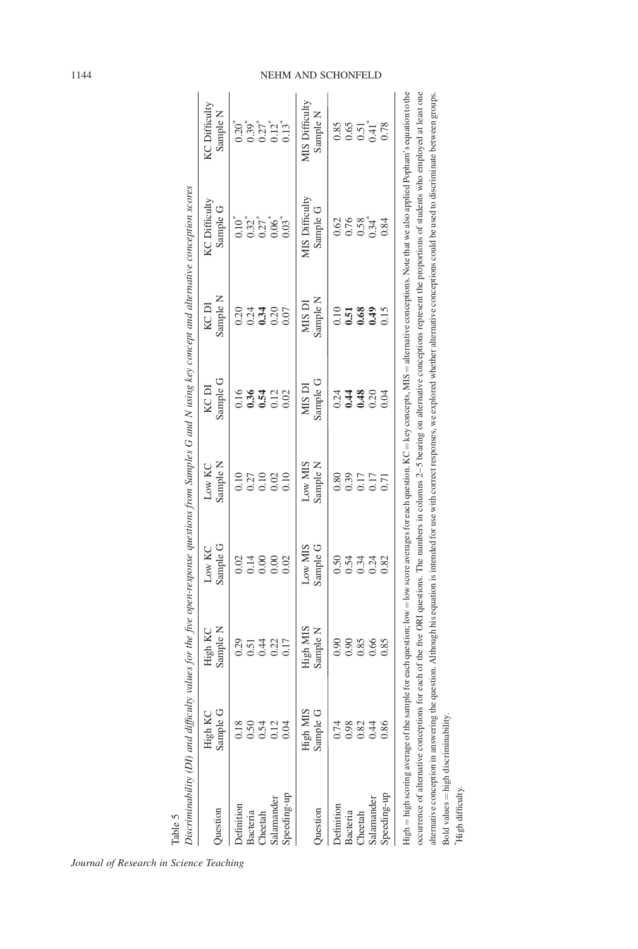| Juestion                      | Sample G<br>High KC | Sample N<br>High KC | Sample G<br>Low KC | Sample N<br>Low KC | Sample G<br>KC DI | Sample N<br>KC DI | <b>KC</b> Difficulty<br>Sample G    | <b>KC</b> Difficulty<br>Sample N           |
|-------------------------------|---------------------|---------------------|--------------------|--------------------|-------------------|-------------------|-------------------------------------|--------------------------------------------|
| <b>Definition</b><br>Bacteria | 0.18<br>0.50        | 0.29<br>0.51        | 0.02<br>0.14       | 0.10<br>0.27       | 0.16              | 0.20<br>0.24      | $0.10^{*}$                          | $0.20^{*}$                                 |
| Cheetah                       | 0.54                | 0.44                | 0.00               | 0.10               | 0.36<br>0.54      | 0.34              | .<br>ครับ<br>ครับ ครับ<br>ครับ ครับ | -<br>0.27 เ้า<br>0.0 เว็<br>0.0            |
| salamander                    | 0.12                | 0.22                | 0.00               | 0.02               | 0.12              | 0.20              |                                     |                                            |
| Speeding-up                   | 0.04                | 0.17                | 0.02               | 0.10               | 0.02              | 0.07              |                                     |                                            |
|                               | High MIS            | High MIS            | Low MIS            | Low MIS            | <b>III</b> SIM    | <b>IIG SIM</b>    | MIS Difficulty                      | MIS Difficulty                             |
| Juestion                      | Sample G            | Sample N            | Sample G           | Sample N           | Sample G          | Sample N          | Sample G                            | Sample N                                   |
| Definition                    | 0.74                | 0.90                | 0.50               | 0.80               | 0.24              | 0.10              | 0.62                                | 0.85                                       |
| Bacteria                      | 0.98                | 0.90                | 0.54               |                    | 0.44              | 0.51              |                                     | $0.51$ <sup>*</sup><br>$0.51$ <sup>*</sup> |
| Cheetah                       | 0.82                | 0.85                | 0.34               | $0.39$<br>0.17     | 0.48              | 0.68              | $0.58$<br>$0.53$ <sup>*</sup>       |                                            |
| Salamander                    | 0.44                | 0.66                | 0.24               | 0.17               | 0.20              | 9.49              |                                     |                                            |
| Speeding-up                   | 0.86                | 0.85                | 0.82               | 0.71               | 0.04              | 0.15              | 0.84                                | 0.78                                       |

| ֚֚֡                                                                                                                                                                                                                |
|--------------------------------------------------------------------------------------------------------------------------------------------------------------------------------------------------------------------|
| r each question; low = low score averages for each question. KC = key concepts, MIS = alternative conceptions. Note that we also applied Popham's equation to the<br>High = high scoring average of the sample for |
| $\alpha$ atternative conceptions for each of the five ORI questions. The numbers in columns 2–5 bearing on alternative conceptions represent the proportions of students who employed at least one                 |
| tion. Although his equation is intended for use with correct responses, we explored whether alternative conceptions could be used to discriminate between groups.<br>tternative conception in answering the quest  |
| sold values = high discriminability.                                                                                                                                                                               |
| High difficulty.                                                                                                                                                                                                   |

# 1144 NEHM AND SCHONFELD

Journal of Research in Science Teaching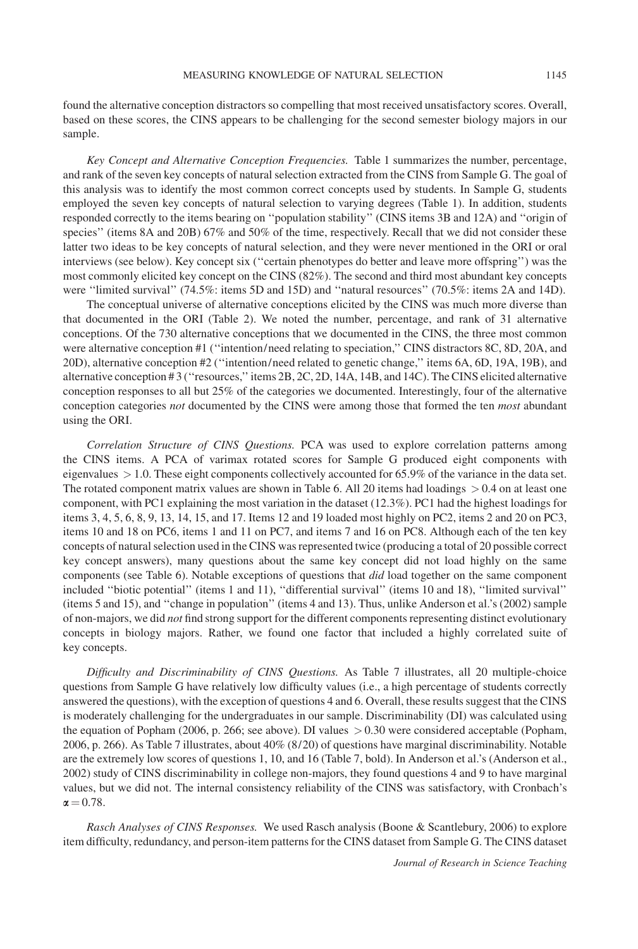found the alternative conception distractors so compelling that most received unsatisfactory scores. Overall, based on these scores, the CINS appears to be challenging for the second semester biology majors in our sample.

Key Concept and Alternative Conception Frequencies. Table 1 summarizes the number, percentage, and rank of the seven key concepts of natural selection extracted from the CINS from Sample G. The goal of this analysis was to identify the most common correct concepts used by students. In Sample G, students employed the seven key concepts of natural selection to varying degrees (Table 1). In addition, students responded correctly to the items bearing on ''population stability'' (CINS items 3B and 12A) and ''origin of species'' (items 8A and 20B) 67% and 50% of the time, respectively. Recall that we did not consider these latter two ideas to be key concepts of natural selection, and they were never mentioned in the ORI or oral interviews (see below). Key concept six (''certain phenotypes do better and leave more offspring'') was the most commonly elicited key concept on the CINS (82%). The second and third most abundant key concepts were "limited survival" (74.5%: items 5D and 15D) and "natural resources" (70.5%: items 2A and 14D).

The conceptual universe of alternative conceptions elicited by the CINS was much more diverse than that documented in the ORI (Table 2). We noted the number, percentage, and rank of 31 alternative conceptions. Of the 730 alternative conceptions that we documented in the CINS, the three most common were alternative conception #1 (''intention/need relating to speciation,'' CINS distractors 8C, 8D, 20A, and 20D), alternative conception #2 (''intention/need related to genetic change,'' items 6A, 6D, 19A, 19B), and alternative conception # 3 (''resources,''items 2B, 2C, 2D, 14A, 14B, and 14C). The CINS elicited alternative conception responses to all but 25% of the categories we documented. Interestingly, four of the alternative conception categories not documented by the CINS were among those that formed the ten most abundant using the ORI.

Correlation Structure of CINS Questions. PCA was used to explore correlation patterns among the CINS items. A PCA of varimax rotated scores for Sample G produced eight components with eigenvalues > 1.0. These eight components collectively accounted for 65.9% of the variance in the data set. The rotated component matrix values are shown in Table 6. All 20 items had loadings > 0.4 on at least one component, with PC1 explaining the most variation in the dataset (12.3%). PC1 had the highest loadings for items 3, 4, 5, 6, 8, 9, 13, 14, 15, and 17. Items 12 and 19 loaded most highly on PC2, items 2 and 20 on PC3, items 10 and 18 on PC6, items 1 and 11 on PC7, and items 7 and 16 on PC8. Although each of the ten key concepts of natural selection used in the CINS was represented twice (producing a total of 20 possible correct key concept answers), many questions about the same key concept did not load highly on the same components (see Table 6). Notable exceptions of questions that did load together on the same component included ''biotic potential'' (items 1 and 11), ''differential survival'' (items 10 and 18), ''limited survival'' (items 5 and 15), and ''change in population'' (items 4 and 13). Thus, unlike Anderson et al.'s (2002) sample of non-majors, we did not find strong support for the different components representing distinct evolutionary concepts in biology majors. Rather, we found one factor that included a highly correlated suite of key concepts.

Difficulty and Discriminability of CINS Questions. As Table 7 illustrates, all 20 multiple-choice questions from Sample G have relatively low difficulty values (i.e., a high percentage of students correctly answered the questions), with the exception of questions 4 and 6. Overall, these results suggest that the CINS is moderately challenging for the undergraduates in our sample. Discriminability (DI) was calculated using the equation of Popham (2006, p. 266; see above). DI values > 0.30 were considered acceptable (Popham, 2006, p. 266). As Table 7 illustrates, about 40% (8/20) of questions have marginal discriminability. Notable are the extremely low scores of questions 1, 10, and 16 (Table 7, bold). In Anderson et al.'s (Anderson et al., 2002) study of CINS discriminability in college non-majors, they found questions 4 and 9 to have marginal values, but we did not. The internal consistency reliability of the CINS was satisfactory, with Cronbach's  $\alpha = 0.78$ .

Rasch Analyses of CINS Responses. We used Rasch analysis (Boone & Scantlebury, 2006) to explore item difficulty, redundancy, and person-item patterns for the CINS dataset from Sample G. The CINS dataset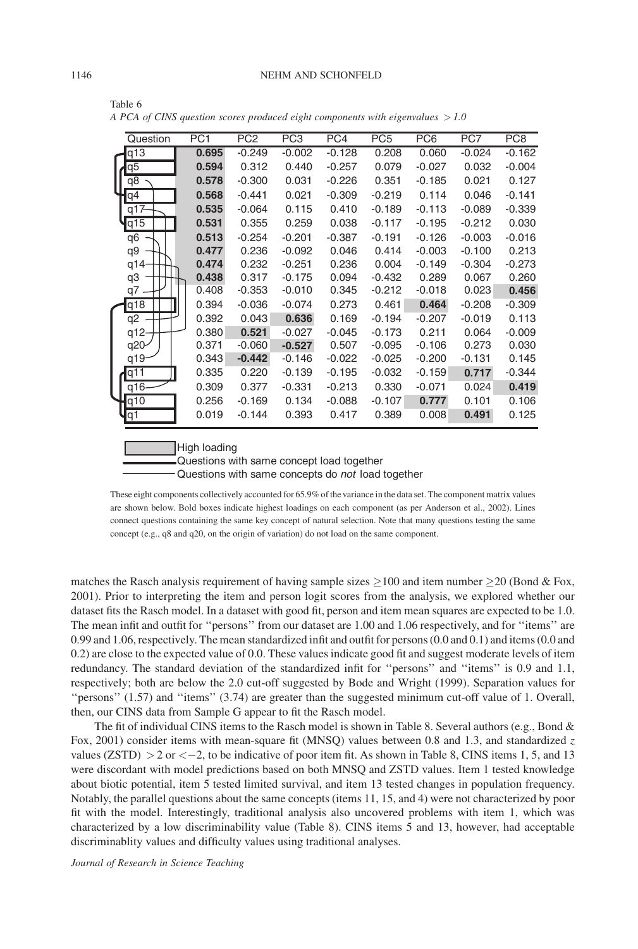| Question         | PC <sub>1</sub> | PC <sub>2</sub> | PC3      | PC4      | PC <sub>5</sub> | PC <sub>6</sub> | PC7      | PC <sub>8</sub> |
|------------------|-----------------|-----------------|----------|----------|-----------------|-----------------|----------|-----------------|
| q13              | 0.695           | $-0.249$        | $-0.002$ | $-0.128$ | 0.208           | 0.060           | $-0.024$ | $-0.162$        |
| q5               | 0.594           | 0.312           | 0.440    | $-0.257$ | 0.079           | $-0.027$        | 0.032    | $-0.004$        |
| $q\overline{8}$  | 0.578           | $-0.300$        | 0.031    | $-0.226$ | 0.351           | $-0.185$        | 0.021    | 0.127           |
| q4               | 0.568           | $-0.441$        | 0.021    | $-0.309$ | $-0.219$        | 0.114           | 0.046    | $-0.141$        |
| q17              | 0.535           | $-0.064$        | 0.115    | 0.410    | $-0.189$        | $-0.113$        | $-0.089$ | $-0.339$        |
| $\overline{q15}$ | 0.531           | 0.355           | 0.259    | 0.038    | $-0.117$        | $-0.195$        | $-0.212$ | 0.030           |
| q6               | 0.513           | $-0.254$        | $-0.201$ | $-0.387$ | $-0.191$        | $-0.126$        | $-0.003$ | $-0.016$        |
| q9               | 0.477           | 0.236           | $-0.092$ | 0.046    | 0.414           | $-0.003$        | $-0.100$ | 0.213           |
| q14-             | 0.474           | 0.232           | $-0.251$ | 0.236    | 0.004           | $-0.149$        | $-0.304$ | $-0.273$        |
| q3               | 0.438           | 0.317           | $-0.175$ | 0.094    | $-0.432$        | 0.289           | 0.067    | 0.260           |
| q7               | 0.408           | $-0.353$        | $-0.010$ | 0.345    | $-0.212$        | $-0.018$        | 0.023    | 0.456           |
| q18              | 0.394           | $-0.036$        | $-0.074$ | 0.273    | 0.461           | 0.464           | $-0.208$ | $-0.309$        |
| q <sub>2</sub>   | 0.392           | 0.043           | 0.636    | 0.169    | $-0.194$        | $-0.207$        | $-0.019$ | 0.113           |
| q12-             | 0.380           | 0.521           | $-0.027$ | $-0.045$ | $-0.173$        | 0.211           | 0.064    | $-0.009$        |
| q20-             | 0.371           | $-0.060$        | $-0.527$ | 0.507    | $-0.095$        | $-0.106$        | 0.273    | 0.030           |
| q19              | 0.343           | $-0.442$        | $-0.146$ | $-0.022$ | $-0.025$        | $-0.200$        | $-0.131$ | 0.145           |
| q11              | 0.335           | 0.220           | $-0.139$ | $-0.195$ | $-0.032$        | $-0.159$        | 0.717    | $-0.344$        |
| $q16-$           | 0.309           | 0.377           | $-0.331$ | $-0.213$ | 0.330           | $-0.071$        | 0.024    | 0.419           |
| q10              | 0.256           | $-0.169$        | 0.134    | $-0.088$ | $-0.107$        | 0.777           | 0.101    | 0.106           |
| q1               | 0.019           | $-0.144$        | 0.393    | 0.417    | 0.389           | 0.008           | 0.491    | 0.125           |
|                  |                 |                 |          |          |                 |                 |          |                 |

Table 6 A PCA of CINS question scores produced eight components with eigenvalues  $>1.0$ 

High loading

Questions with same concept load together

Questions with same concepts do *not* load together

These eight components collectively accounted for 65.9% of the variance in the data set. The component matrix values are shown below. Bold boxes indicate highest loadings on each component (as per Anderson et al., 2002). Lines connect questions containing the same key concept of natural selection. Note that many questions testing the same concept (e.g., q8 and q20, on the origin of variation) do not load on the same component.

matches the Rasch analysis requirement of having sample sizes  $>100$  and item number  $>20$  (Bond & Fox, 2001). Prior to interpreting the item and person logit scores from the analysis, we explored whether our dataset fits the Rasch model. In a dataset with good fit, person and item mean squares are expected to be 1.0. The mean infit and outfit for ''persons'' from our dataset are 1.00 and 1.06 respectively, and for ''items'' are 0.99 and 1.06, respectively. The mean standardized infit and outfit for persons (0.0 and 0.1) and items (0.0 and 0.2) are close to the expected value of 0.0. These values indicate good fit and suggest moderate levels of item redundancy. The standard deviation of the standardized infit for ''persons'' and ''items'' is 0.9 and 1.1, respectively; both are below the 2.0 cut-off suggested by Bode and Wright (1999). Separation values for ''persons'' (1.57) and ''items'' (3.74) are greater than the suggested minimum cut-off value of 1. Overall, then, our CINS data from Sample G appear to fit the Rasch model.

The fit of individual CINS items to the Rasch model is shown in Table 8. Several authors (e.g., Bond & Fox, 2001) consider items with mean-square fit (MNSQ) values between 0.8 and 1.3, and standardized  $z$ values (ZSTD)  $> 2$  or  $<-2$ , to be indicative of poor item fit. As shown in Table 8, CINS items 1, 5, and 13 were discordant with model predictions based on both MNSQ and ZSTD values. Item 1 tested knowledge about biotic potential, item 5 tested limited survival, and item 13 tested changes in population frequency. Notably, the parallel questions about the same concepts (items 11, 15, and 4) were not characterized by poor fit with the model. Interestingly, traditional analysis also uncovered problems with item 1, which was characterized by a low discriminability value (Table 8). CINS items 5 and 13, however, had acceptable discriminablity values and difficulty values using traditional analyses.

Journal of Research in Science Teaching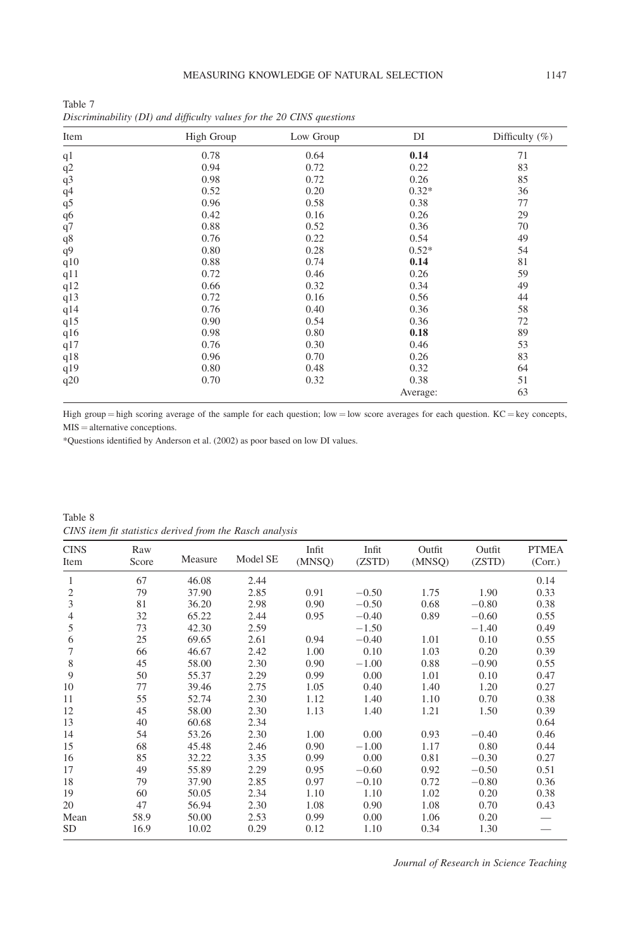| Item           | High Group | Low Group | DI       | Difficulty $(\%)$ |
|----------------|------------|-----------|----------|-------------------|
| q1             | 0.78       | 0.64      | 0.14     | 71                |
| q2             | 0.94       | 0.72      | 0.22     | 83                |
| q3             | 0.98       | 0.72      | 0.26     | 85                |
| q <sub>4</sub> | 0.52       | 0.20      | $0.32*$  | 36                |
| q <sub>5</sub> | 0.96       | 0.58      | 0.38     | 77                |
| q6             | 0.42       | 0.16      | 0.26     | 29                |
| q7             | 0.88       | 0.52      | 0.36     | 70                |
| $\rm q8$       | 0.76       | 0.22      | 0.54     | 49                |
| q9             | 0.80       | 0.28      | $0.52*$  | 54                |
| q10            | 0.88       | 0.74      | 0.14     | 81                |
| q11            | 0.72       | 0.46      | 0.26     | 59                |
| q12            | 0.66       | 0.32      | 0.34     | 49                |
| q13            | 0.72       | 0.16      | 0.56     | 44                |
| q14            | 0.76       | 0.40      | 0.36     | 58                |
| q15            | 0.90       | 0.54      | 0.36     | 72                |
| q16            | 0.98       | 0.80      | 0.18     | 89                |
| q17            | 0.76       | 0.30      | 0.46     | 53                |
| q18            | 0.96       | 0.70      | 0.26     | 83                |
| q19            | 0.80       | 0.48      | 0.32     | 64                |
| q20            | 0.70       | 0.32      | 0.38     | 51                |
|                |            |           | Average: | 63                |

Table 7 Discriminability (DI) and difficulty values for the 20 CINS questions

High group  $=$  high scoring average of the sample for each question; low  $=$  low score averages for each question. KC  $=$  key concepts,  $MIS =$  alternative conceptions.

\*Questions identified by Anderson et al. (2002) as poor based on low DI values.

| <b>CINS</b><br>Item | Raw<br>Score | Measure | Model SE | Infit<br>(MNSO) | Infit<br>(ZSTD) | Outfit<br>(MNSQ) | Outfit<br>(ZSTD) | <b>PTMEA</b><br>(Corr.) |
|---------------------|--------------|---------|----------|-----------------|-----------------|------------------|------------------|-------------------------|
| 1                   | 67           | 46.08   | 2.44     |                 |                 |                  |                  | 0.14                    |
| $\overline{c}$      | 79           | 37.90   | 2.85     | 0.91            | $-0.50$         | 1.75             | 1.90             | 0.33                    |
| 3                   | 81           | 36.20   | 2.98     | 0.90            | $-0.50$         | 0.68             | $-0.80$          | 0.38                    |
| 4                   | 32           | 65.22   | 2.44     | 0.95            | $-0.40$         | 0.89             | $-0.60$          | 0.55                    |
| 5                   | 73           | 42.30   | 2.59     |                 | $-1.50$         |                  | $-1.40$          | 0.49                    |
| 6                   | 25           | 69.65   | 2.61     | 0.94            | $-0.40$         | 1.01             | 0.10             | 0.55                    |
| 7                   | 66           | 46.67   | 2.42     | 1.00            | 0.10            | 1.03             | 0.20             | 0.39                    |
| 8                   | 45           | 58.00   | 2.30     | 0.90            | $-1.00$         | 0.88             | $-0.90$          | 0.55                    |
| 9                   | 50           | 55.37   | 2.29     | 0.99            | 0.00            | 1.01             | 0.10             | 0.47                    |
| 10                  | 77           | 39.46   | 2.75     | 1.05            | 0.40            | 1.40             | 1.20             | 0.27                    |
| 11                  | 55           | 52.74   | 2.30     | 1.12            | 1.40            | 1.10             | 0.70             | 0.38                    |
| 12                  | 45           | 58.00   | 2.30     | 1.13            | 1.40            | 1.21             | 1.50             | 0.39                    |
| 13                  | 40           | 60.68   | 2.34     |                 |                 |                  |                  | 0.64                    |
| 14                  | 54           | 53.26   | 2.30     | 1.00            | 0.00            | 0.93             | $-0.40$          | 0.46                    |
| 15                  | 68           | 45.48   | 2.46     | 0.90            | $-1.00$         | 1.17             | 0.80             | 0.44                    |
| 16                  | 85           | 32.22   | 3.35     | 0.99            | 0.00            | 0.81             | $-0.30$          | 0.27                    |
| 17                  | 49           | 55.89   | 2.29     | 0.95            | $-0.60$         | 0.92             | $-0.50$          | 0.51                    |
| 18                  | 79           | 37.90   | 2.85     | 0.97            | $-0.10$         | 0.72             | $-0.80$          | 0.36                    |
| 19                  | 60           | 50.05   | 2.34     | 1.10            | 1.10            | 1.02             | 0.20             | 0.38                    |
| 20                  | 47           | 56.94   | 2.30     | 1.08            | 0.90            | 1.08             | 0.70             | 0.43                    |
| Mean                | 58.9         | 50.00   | 2.53     | 0.99            | 0.00            | 1.06             | 0.20             |                         |
| <b>SD</b>           | 16.9         | 10.02   | 0.29     | 0.12            | 1.10            | 0.34             | 1.30             |                         |

Table 8 CINS item fit statistics derived from the Rasch analysis

Journal of Research in Science Teaching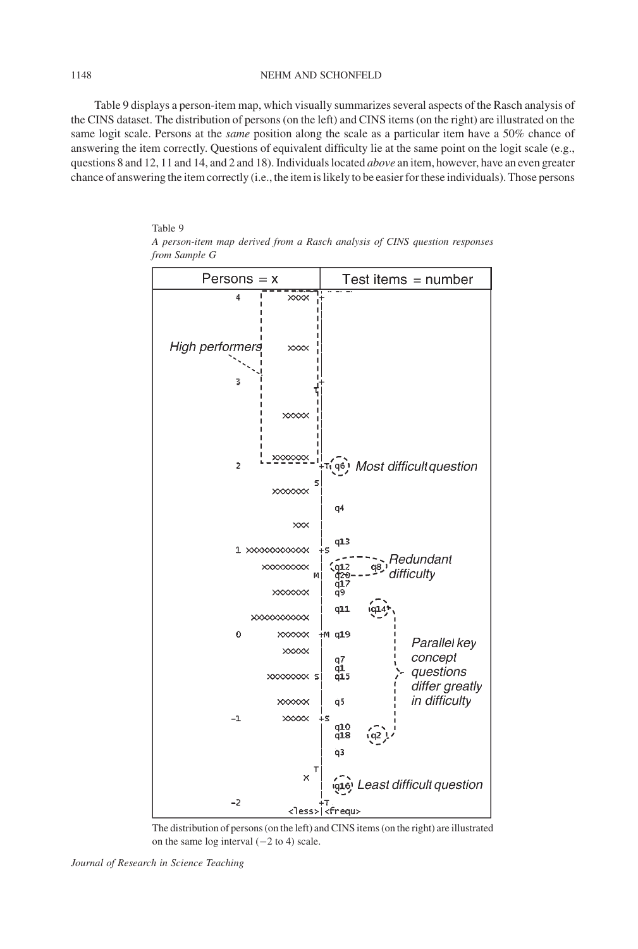Table 9 displays a person-item map, which visually summarizes several aspects of the Rasch analysis of the CINS dataset. The distribution of persons (on the left) and CINS items (on the right) are illustrated on the same logit scale. Persons at the *same* position along the scale as a particular item have a 50% chance of answering the item correctly. Questions of equivalent difficulty lie at the same point on the logit scale (e.g., questions 8 and 12, 11 and 14, and 2 and 18). Individuals located *above* an item, however, have an even greater chance of answering the item correctly (i.e., the item is likely to be easier for these individuals). Those persons

| Persons $= x$                     | Test items $=$ number                                    |
|-----------------------------------|----------------------------------------------------------|
| 4<br>⋙<br>High performers<br>⋙    |                                                          |
| з<br>⋙                            |                                                          |
| $\overline{z}$<br>5<br>⋙∞         | า(์ุจฺ6) Most difficultquestion                          |
| ⋙                                 | q4                                                       |
| 1 xxxxxxxxxxx<br>⋙∞∞∞<br>м<br>⋙∞× | q13<br>÷s<br>Redundant<br>12<br>difficulty<br>q17<br>q9  |
| <b>XXXXXXXXXXX</b>                | q <sub>11</sub>                                          |
| 0<br>xxxxx<br><b>XXXXX</b>        | $+M$ q19<br>Parallel key<br>concept<br>q7<br>q1<br>q15   |
| $x\infty$<br><b>XXXXXX</b>        | questions<br>differ greatly<br>in difficulty<br>ġ5       |
| $^{\rm -1}$<br>⋙                  | $+5$<br>q10<br>q18<br>ιq∠<br>q3                          |
| ×<br>$-2$                         | east difficult question<br><less> <frequ></frequ></less> |

A person-item map derived from a Rasch analysis of CINS question responses from Sample G

Table 9

The distribution of persons (on the left) and CINS items (on the right) are illustrated on the same log interval  $(-2$  to 4) scale.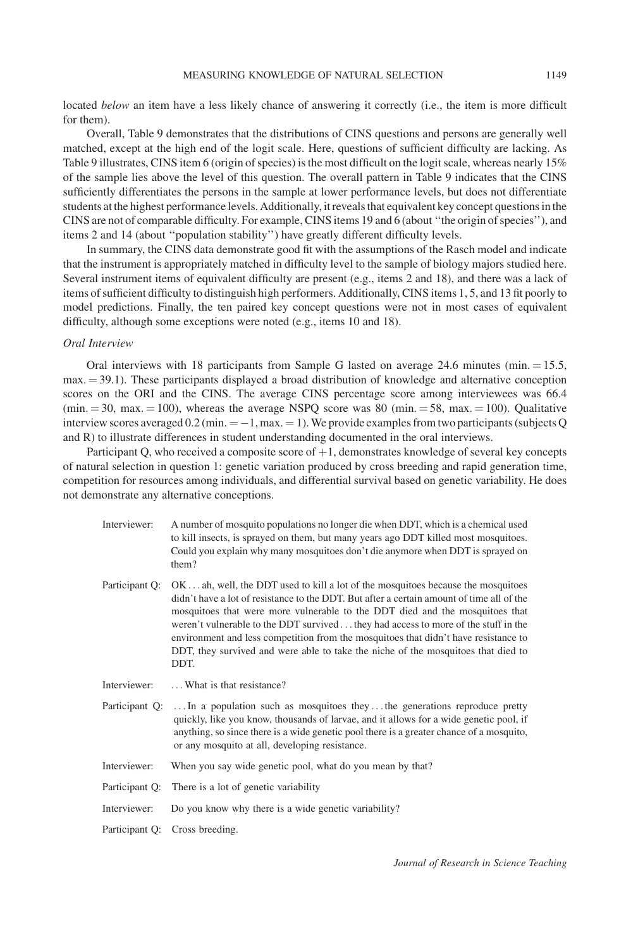located below an item have a less likely chance of answering it correctly (i.e., the item is more difficult for them).

Overall, Table 9 demonstrates that the distributions of CINS questions and persons are generally well matched, except at the high end of the logit scale. Here, questions of sufficient difficulty are lacking. As Table 9 illustrates, CINS item 6 (origin of species) is the most difficult on the logit scale, whereas nearly 15% of the sample lies above the level of this question. The overall pattern in Table 9 indicates that the CINS sufficiently differentiates the persons in the sample at lower performance levels, but does not differentiate students at the highest performance levels. Additionally, it reveals that equivalent key concept questions in the CINS are not of comparable difficulty. For example, CINS items 19 and 6 (about ''the origin of species''), and items 2 and 14 (about ''population stability'') have greatly different difficulty levels.

In summary, the CINS data demonstrate good fit with the assumptions of the Rasch model and indicate that the instrument is appropriately matched in difficulty level to the sample of biology majors studied here. Several instrument items of equivalent difficulty are present (e.g., items 2 and 18), and there was a lack of items of sufficient difficulty to distinguish high performers. Additionally, CINS items 1, 5, and 13 fit poorly to model predictions. Finally, the ten paired key concept questions were not in most cases of equivalent difficulty, although some exceptions were noted (e.g., items 10 and 18).

#### Oral Interview

Oral interviews with 18 participants from Sample G lasted on average 24.6 minutes (min.  $= 15.5$ ,  $max = 39.1$ ). These participants displayed a broad distribution of knowledge and alternative conception scores on the ORI and the CINS. The average CINS percentage score among interviewees was 66.4  $(\text{min.} = 30, \text{max.} = 100)$ , whereas the average NSPQ score was 80  $(\text{min.} = 58, \text{max.} = 100)$ . Qualitative interview scores averaged  $0.2$  (min.  $=-1$ , max.  $=1$ ). We provide examples from two participants (subjects Q and R) to illustrate differences in student understanding documented in the oral interviews.

Participant Q, who received a composite score of  $+1$ , demonstrates knowledge of several key concepts of natural selection in question 1: genetic variation produced by cross breeding and rapid generation time, competition for resources among individuals, and differential survival based on genetic variability. He does not demonstrate any alternative conceptions.

| Interviewer:   | A number of mosquito populations no longer die when DDT, which is a chemical used<br>to kill insects, is sprayed on them, but many years ago DDT killed most mosquitoes.<br>Could you explain why many mosquitoes don't die anymore when DDT is sprayed on<br>them?                                                                                                                                                                                                                                                                             |
|----------------|-------------------------------------------------------------------------------------------------------------------------------------------------------------------------------------------------------------------------------------------------------------------------------------------------------------------------------------------------------------------------------------------------------------------------------------------------------------------------------------------------------------------------------------------------|
| Participant Q: | $OK \dots$ ah, well, the DDT used to kill a lot of the mosquitoes because the mosquitoes<br>didn't have a lot of resistance to the DDT. But after a certain amount of time all of the<br>mosquitoes that were more vulnerable to the DDT died and the mosquitoes that<br>weren't vulnerable to the DDT survived they had access to more of the stuff in the<br>environment and less competition from the mosquitoes that didn't have resistance to<br>DDT, they survived and were able to take the niche of the mosquitoes that died to<br>DDT. |
| Interviewer:   | What is that resistance?                                                                                                                                                                                                                                                                                                                                                                                                                                                                                                                        |
| Participant Q: | In a population such as mosquitoes they the generations reproduce pretty<br>quickly, like you know, thousands of larvae, and it allows for a wide genetic pool, if<br>anything, so since there is a wide genetic pool there is a greater chance of a mosquito,<br>or any mosquito at all, developing resistance.                                                                                                                                                                                                                                |
| Interviewer:   | When you say wide genetic pool, what do you mean by that?                                                                                                                                                                                                                                                                                                                                                                                                                                                                                       |
| Participant Q: | There is a lot of genetic variability                                                                                                                                                                                                                                                                                                                                                                                                                                                                                                           |
| Interviewer:   | Do you know why there is a wide genetic variability?                                                                                                                                                                                                                                                                                                                                                                                                                                                                                            |
|                | Participant Q: Cross breeding.                                                                                                                                                                                                                                                                                                                                                                                                                                                                                                                  |
|                |                                                                                                                                                                                                                                                                                                                                                                                                                                                                                                                                                 |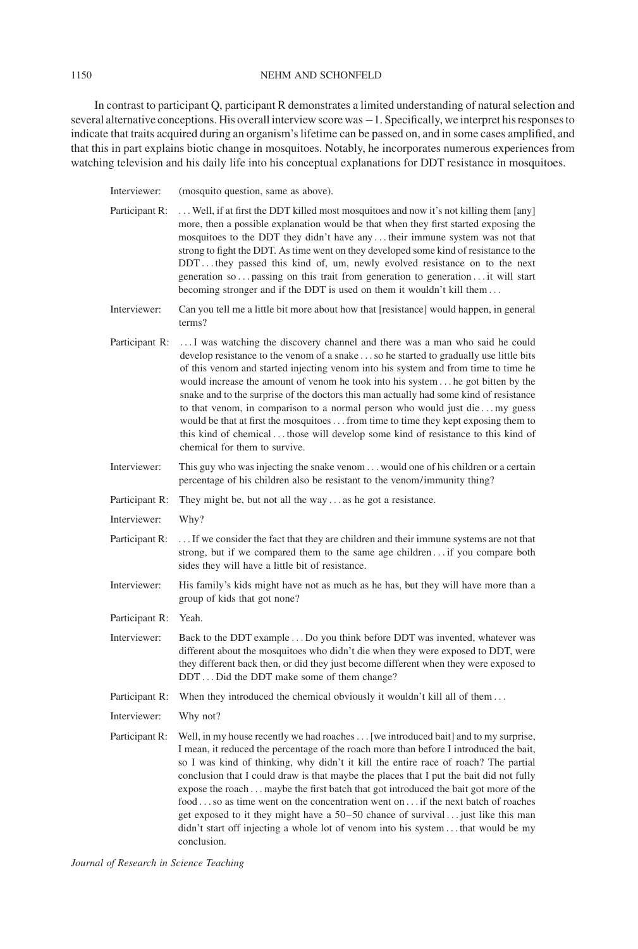In contrast to participant Q, participant R demonstrates a limited understanding of natural selection and several alternative conceptions. His overall interview score was -1. Specifically, we interpret his responses to indicate that traits acquired during an organism's lifetime can be passed on, and in some cases amplified, and that this in part explains biotic change in mosquitoes. Notably, he incorporates numerous experiences from watching television and his daily life into his conceptual explanations for DDT resistance in mosquitoes.

- Interviewer: (mosquito question, same as above).
- Participant R: ... Well, if at first the DDT killed most mosquitoes and now it's not killing them [any] more, then a possible explanation would be that when they first started exposing the mosquitoes to the DDT they didn't have any ... their immune system was not that strong to fight the DDT. As time went on they developed some kind of resistance to the DDT ... they passed this kind of, um, newly evolved resistance on to the next generation so ... passing on this trait from generation to generation ... it will start becoming stronger and if the DDT is used on them it wouldn't kill them ...
- Interviewer: Can you tell me a little bit more about how that [resistance] would happen, in general terms?
- Participant R: ...I was watching the discovery channel and there was a man who said he could develop resistance to the venom of a snake ...so he started to gradually use little bits of this venom and started injecting venom into his system and from time to time he would increase the amount of venom he took into his system ... he got bitten by the snake and to the surprise of the doctors this man actually had some kind of resistance to that venom, in comparison to a normal person who would just die ... my guess would be that at first the mosquitoes... from time to time they kept exposing them to this kind of chemical ... those will develop some kind of resistance to this kind of chemical for them to survive.
- Interviewer: This guy who was injecting the snake venom ... would one of his children or a certain percentage of his children also be resistant to the venom/immunity thing?
- Participant R: They might be, but not all the way ... as he got a resistance.
- Interviewer: Why?
- Participant R: ...If we consider the fact that they are children and their immune systems are not that strong, but if we compared them to the same age children ... if you compare both sides they will have a little bit of resistance.
- Interviewer: His family's kids might have not as much as he has, but they will have more than a group of kids that got none?
- Participant R: Yeah.
- Interviewer: Back to the DDT example ... Do you think before DDT was invented, whatever was different about the mosquitoes who didn't die when they were exposed to DDT, were they different back then, or did they just become different when they were exposed to DDT ... Did the DDT make some of them change?
- Participant R: When they introduced the chemical obviously it wouldn't kill all of them ...
- Interviewer: Why not?
- Participant R: Well, in my house recently we had roaches . . . [we introduced bait] and to my surprise, I mean, it reduced the percentage of the roach more than before I introduced the bait, so I was kind of thinking, why didn't it kill the entire race of roach? The partial conclusion that I could draw is that maybe the places that I put the bait did not fully expose the roach ... maybe the first batch that got introduced the bait got more of the food ...so as time went on the concentration went on ... if the next batch of roaches get exposed to it they might have a 50–50 chance of survival ... just like this man didn't start off injecting a whole lot of venom into his system ... that would be my conclusion.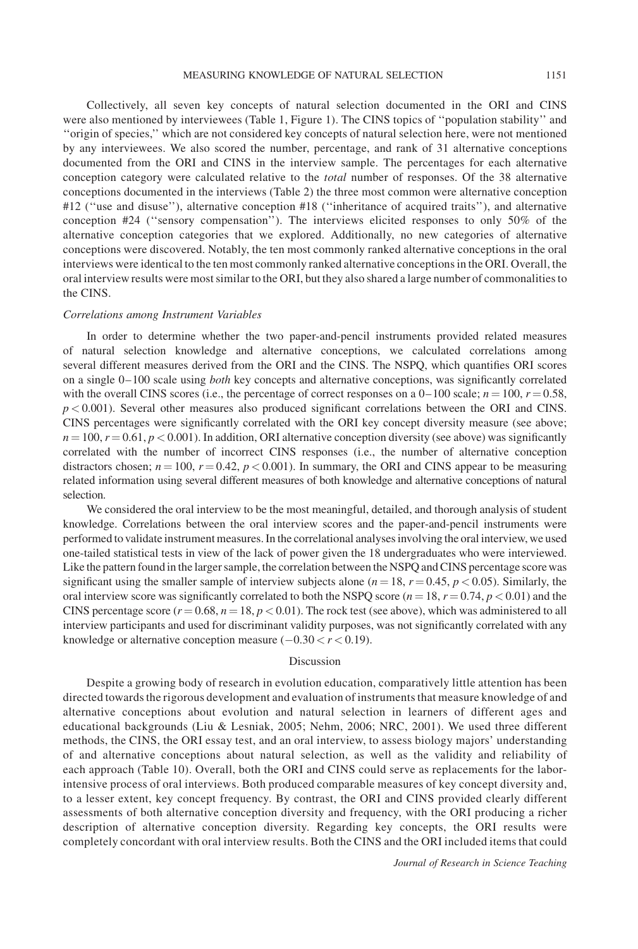Collectively, all seven key concepts of natural selection documented in the ORI and CINS were also mentioned by interviewees (Table 1, Figure 1). The CINS topics of ''population stability'' and ''origin of species,'' which are not considered key concepts of natural selection here, were not mentioned by any interviewees. We also scored the number, percentage, and rank of 31 alternative conceptions documented from the ORI and CINS in the interview sample. The percentages for each alternative conception category were calculated relative to the total number of responses. Of the 38 alternative conceptions documented in the interviews (Table 2) the three most common were alternative conception #12 (''use and disuse''), alternative conception #18 (''inheritance of acquired traits''), and alternative conception #24 (''sensory compensation''). The interviews elicited responses to only 50% of the alternative conception categories that we explored. Additionally, no new categories of alternative conceptions were discovered. Notably, the ten most commonly ranked alternative conceptions in the oral interviews were identical to the ten most commonly ranked alternative conceptions in the ORI. Overall, the oral interview results were most similar to the ORI, but they also shared a large number of commonalities to the CINS.

#### Correlations among Instrument Variables

In order to determine whether the two paper-and-pencil instruments provided related measures of natural selection knowledge and alternative conceptions, we calculated correlations among several different measures derived from the ORI and the CINS. The NSPQ, which quantifies ORI scores on a single  $0-100$  scale using *both* key concepts and alternative conceptions, was significantly correlated with the overall CINS scores (i.e., the percentage of correct responses on a  $0-100$  scale;  $n = 100$ ,  $r = 0.58$ ,  $p < 0.001$ ). Several other measures also produced significant correlations between the ORI and CINS. CINS percentages were significantly correlated with the ORI key concept diversity measure (see above;  $n = 100$ ,  $r = 0.61$ ,  $p < 0.001$ ). In addition, ORI alternative conception diversity (see above) was significantly correlated with the number of incorrect CINS responses (i.e., the number of alternative conception distractors chosen;  $n = 100$ ,  $r = 0.42$ ,  $p < 0.001$ ). In summary, the ORI and CINS appear to be measuring related information using several different measures of both knowledge and alternative conceptions of natural selection.

We considered the oral interview to be the most meaningful, detailed, and thorough analysis of student knowledge. Correlations between the oral interview scores and the paper-and-pencil instruments were performed to validate instrument measures. In the correlational analyses involving the oral interview, we used one-tailed statistical tests in view of the lack of power given the 18 undergraduates who were interviewed. Like the pattern found in the larger sample, the correlation between the NSPQ and CINS percentage score was significant using the smaller sample of interview subjects alone ( $n = 18$ ,  $r = 0.45$ ,  $p < 0.05$ ). Similarly, the oral interview score was significantly correlated to both the NSPQ score  $(n = 18, r = 0.74, p < 0.01)$  and the CINS percentage score ( $r = 0.68$ ,  $n = 18$ ,  $p < 0.01$ ). The rock test (see above), which was administered to all interview participants and used for discriminant validity purposes, was not significantly correlated with any knowledge or alternative conception measure  $(-0.30 < r < 0.19)$ .

#### Discussion

Despite a growing body of research in evolution education, comparatively little attention has been directed towards the rigorous development and evaluation of instruments that measure knowledge of and alternative conceptions about evolution and natural selection in learners of different ages and educational backgrounds (Liu & Lesniak, 2005; Nehm, 2006; NRC, 2001). We used three different methods, the CINS, the ORI essay test, and an oral interview, to assess biology majors' understanding of and alternative conceptions about natural selection, as well as the validity and reliability of each approach (Table 10). Overall, both the ORI and CINS could serve as replacements for the laborintensive process of oral interviews. Both produced comparable measures of key concept diversity and, to a lesser extent, key concept frequency. By contrast, the ORI and CINS provided clearly different assessments of both alternative conception diversity and frequency, with the ORI producing a richer description of alternative conception diversity. Regarding key concepts, the ORI results were completely concordant with oral interview results. Both the CINS and the ORI included items that could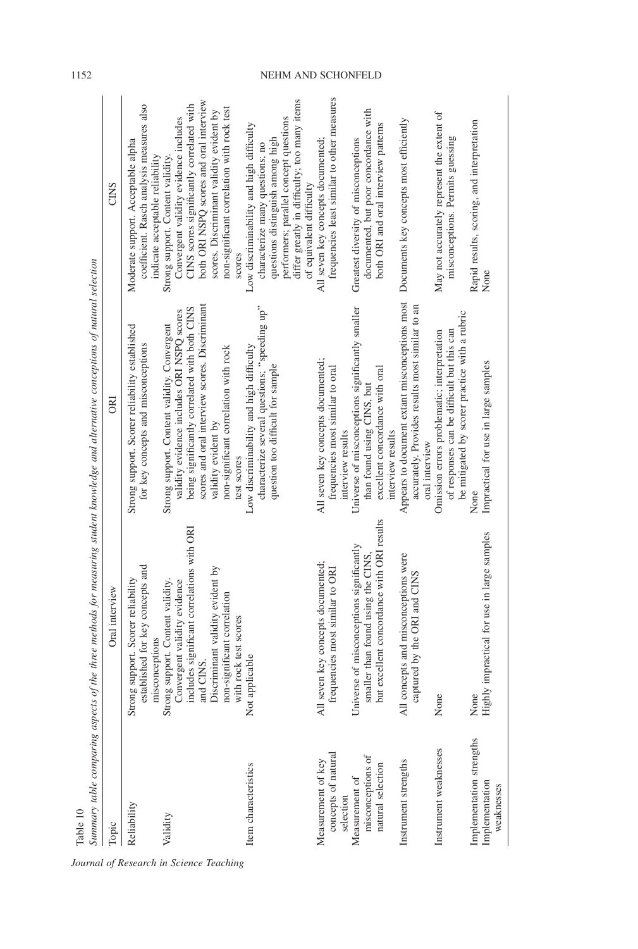| Table 10                                                 |                                                                                                                                                                                                                          | Summary table comparing aspects of the three methods for measuring student knowledge and alternative conceptions of natural selection                                                                                                                                        |                                                                                                                                                                                                                                                                        |
|----------------------------------------------------------|--------------------------------------------------------------------------------------------------------------------------------------------------------------------------------------------------------------------------|------------------------------------------------------------------------------------------------------------------------------------------------------------------------------------------------------------------------------------------------------------------------------|------------------------------------------------------------------------------------------------------------------------------------------------------------------------------------------------------------------------------------------------------------------------|
| Topic                                                    | Oral interview                                                                                                                                                                                                           | ORI                                                                                                                                                                                                                                                                          | CINS                                                                                                                                                                                                                                                                   |
| Reliability                                              | established for key concepts and<br>Strong support. Scorer reliability<br>misconceptions                                                                                                                                 | Strong support. Scorer reliability established<br>for key concepts and misconceptions                                                                                                                                                                                        | coefficient. Rasch analysis measures also<br>Moderate support. Acceptable alpha<br>indicate acceptable reliability                                                                                                                                                     |
| Validity                                                 | includes significant correlations with ORI<br>Discriminant validity evident by<br>Strong support. Content validity.<br>Convergent validity evidence<br>non-significant correlation<br>with rock test scores<br>and CINS. | scores and oral interview scores. Discriminant<br>being significantly correlated with both CINS<br>validity evidence includes ORI NSPQ scores<br>Strong support. Content validity. Convergent<br>non-significant correlation with rock<br>validity evident by<br>test scores | both ORI NSPQ scores and oral interview<br>CINS scores significantly correlated with<br>non-significant correlation with rock test<br>scores. Discriminant validity evident by<br>Convergent validity evidence includes<br>Strong support. Content validity.<br>scores |
| Item characteristics                                     | Not applicable                                                                                                                                                                                                           | characterize several questions; "speeding up"<br>Low discriminability and high difficulty<br>question too difficult for sample                                                                                                                                               | differ greatly in difficulty; too many items<br>performers; parallel concept questions<br>Low discriminability and high difficulty<br>questions distinguish among high<br>characterize many questions; no<br>of equivalent difficulty                                  |
| concepts of natural<br>Measurement of key<br>selection   | All seven key concepts documented;<br>frequencies most similar to ORI                                                                                                                                                    | All seven key concepts documented;<br>frequencies most similar to oral<br>interview results                                                                                                                                                                                  | frequencies least similar to other measures<br>All seven key concepts documented;                                                                                                                                                                                      |
| misconceptions of<br>natural selection<br>Measurement of | but excellent concordance with ORI results<br>Universe of misconceptions significantly<br>smaller than found using the CINS                                                                                              | Universe of misconceptions significantly smaller<br>excellent concordance with oral<br>than found using CINS, but<br>interview results                                                                                                                                       | documented, but poor concordance with<br>both ORI and oral interview patterns<br>Greatest diversity of misconceptions                                                                                                                                                  |
| Instrument strengths                                     | All concepts and misconceptions were<br>captured by the ORI and CINS                                                                                                                                                     | Appears to document extant misconceptions most<br>accurately. Provides results most similar to an<br>oral interview                                                                                                                                                          | Documents key concepts most efficiently                                                                                                                                                                                                                                |
| Instrument weaknesses                                    | None                                                                                                                                                                                                                     | be mitigated by scorer practice with a rubric<br>of responses can be difficult but this can<br>Omission errors problematic; interpretation                                                                                                                                   | May not accurately represent the extent of<br>misconceptions. Permits guessing                                                                                                                                                                                         |
| Implementation strengths<br>Implementation<br>weaknesses | impractical for use in large samples<br>Highly i<br>None                                                                                                                                                                 | Impractical for use in large samples<br>None                                                                                                                                                                                                                                 | Rapid results, scoring, and interpretation<br>None                                                                                                                                                                                                                     |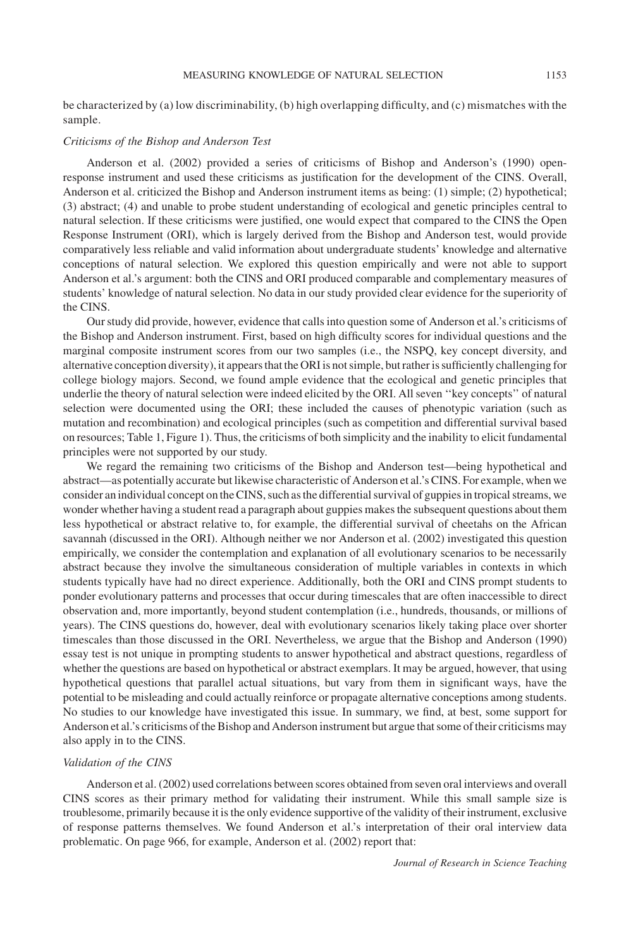be characterized by (a) low discriminability, (b) high overlapping difficulty, and (c) mismatches with the sample.

#### Criticisms of the Bishop and Anderson Test

Anderson et al. (2002) provided a series of criticisms of Bishop and Anderson's (1990) openresponse instrument and used these criticisms as justification for the development of the CINS. Overall, Anderson et al. criticized the Bishop and Anderson instrument items as being: (1) simple; (2) hypothetical; (3) abstract; (4) and unable to probe student understanding of ecological and genetic principles central to natural selection. If these criticisms were justified, one would expect that compared to the CINS the Open Response Instrument (ORI), which is largely derived from the Bishop and Anderson test, would provide comparatively less reliable and valid information about undergraduate students' knowledge and alternative conceptions of natural selection. We explored this question empirically and were not able to support Anderson et al.'s argument: both the CINS and ORI produced comparable and complementary measures of students' knowledge of natural selection. No data in our study provided clear evidence for the superiority of the CINS.

Our study did provide, however, evidence that calls into question some of Anderson et al.'s criticisms of the Bishop and Anderson instrument. First, based on high difficulty scores for individual questions and the marginal composite instrument scores from our two samples (i.e., the NSPQ, key concept diversity, and alternative conception diversity), it appears that the ORI is not simple, but rather is sufficiently challenging for college biology majors. Second, we found ample evidence that the ecological and genetic principles that underlie the theory of natural selection were indeed elicited by the ORI. All seven ''key concepts'' of natural selection were documented using the ORI; these included the causes of phenotypic variation (such as mutation and recombination) and ecological principles (such as competition and differential survival based on resources; Table 1, Figure 1). Thus, the criticisms of both simplicity and the inability to elicit fundamental principles were not supported by our study.

We regard the remaining two criticisms of the Bishop and Anderson test—being hypothetical and abstract—as potentially accurate but likewise characteristic of Anderson et al.'s CINS. For example, when we consider an individual concept on the CINS, such as the differential survival of guppies in tropical streams, we wonder whether having a student read a paragraph about guppies makes the subsequent questions about them less hypothetical or abstract relative to, for example, the differential survival of cheetahs on the African savannah (discussed in the ORI). Although neither we nor Anderson et al. (2002) investigated this question empirically, we consider the contemplation and explanation of all evolutionary scenarios to be necessarily abstract because they involve the simultaneous consideration of multiple variables in contexts in which students typically have had no direct experience. Additionally, both the ORI and CINS prompt students to ponder evolutionary patterns and processes that occur during timescales that are often inaccessible to direct observation and, more importantly, beyond student contemplation (i.e., hundreds, thousands, or millions of years). The CINS questions do, however, deal with evolutionary scenarios likely taking place over shorter timescales than those discussed in the ORI. Nevertheless, we argue that the Bishop and Anderson (1990) essay test is not unique in prompting students to answer hypothetical and abstract questions, regardless of whether the questions are based on hypothetical or abstract exemplars. It may be argued, however, that using hypothetical questions that parallel actual situations, but vary from them in significant ways, have the potential to be misleading and could actually reinforce or propagate alternative conceptions among students. No studies to our knowledge have investigated this issue. In summary, we find, at best, some support for Anderson et al.'s criticisms of the Bishop and Anderson instrument but argue that some of their criticisms may also apply in to the CINS.

#### Validation of the CINS

Anderson et al. (2002) used correlations between scores obtained from seven oral interviews and overall CINS scores as their primary method for validating their instrument. While this small sample size is troublesome, primarily because it is the only evidence supportive of the validity of their instrument, exclusive of response patterns themselves. We found Anderson et al.'s interpretation of their oral interview data problematic. On page 966, for example, Anderson et al. (2002) report that:

Journal of Research in Science Teaching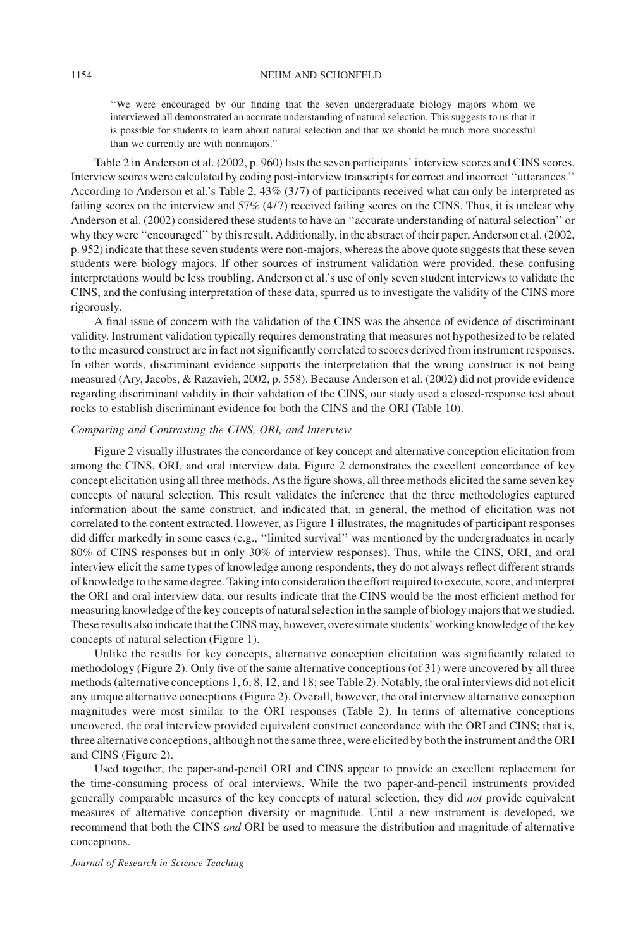''We were encouraged by our finding that the seven undergraduate biology majors whom we interviewed all demonstrated an accurate understanding of natural selection. This suggests to us that it is possible for students to learn about natural selection and that we should be much more successful than we currently are with nonmajors.''

Table 2 in Anderson et al. (2002, p. 960) lists the seven participants' interview scores and CINS scores. Interview scores were calculated by coding post-interview transcripts for correct and incorrect ''utterances.'' According to Anderson et al.'s Table 2, 43% (3/7) of participants received what can only be interpreted as failing scores on the interview and 57% (4/7) received failing scores on the CINS. Thus, it is unclear why Anderson et al. (2002) considered these students to have an ''accurate understanding of natural selection'' or why they were ''encouraged'' by this result. Additionally, in the abstract of their paper, Anderson et al. (2002, p. 952) indicate that these seven students were non-majors, whereas the above quote suggests that these seven students were biology majors. If other sources of instrument validation were provided, these confusing interpretations would be less troubling. Anderson et al.'s use of only seven student interviews to validate the CINS, and the confusing interpretation of these data, spurred us to investigate the validity of the CINS more rigorously.

A final issue of concern with the validation of the CINS was the absence of evidence of discriminant validity. Instrument validation typically requires demonstrating that measures not hypothesized to be related to the measured construct are in fact not significantly correlated to scores derived from instrument responses. In other words, discriminant evidence supports the interpretation that the wrong construct is not being measured (Ary, Jacobs, & Razavieh, 2002, p. 558). Because Anderson et al. (2002) did not provide evidence regarding discriminant validity in their validation of the CINS, our study used a closed-response test about rocks to establish discriminant evidence for both the CINS and the ORI (Table 10).

## Comparing and Contrasting the CINS, ORI, and Interview

Figure 2 visually illustrates the concordance of key concept and alternative conception elicitation from among the CINS, ORI, and oral interview data. Figure 2 demonstrates the excellent concordance of key concept elicitation using all three methods. As the figure shows, all three methods elicited the same seven key concepts of natural selection. This result validates the inference that the three methodologies captured information about the same construct, and indicated that, in general, the method of elicitation was not correlated to the content extracted. However, as Figure 1 illustrates, the magnitudes of participant responses did differ markedly in some cases (e.g., ''limited survival'' was mentioned by the undergraduates in nearly 80% of CINS responses but in only 30% of interview responses). Thus, while the CINS, ORI, and oral interview elicit the same types of knowledge among respondents, they do not always reflect different strands of knowledge to the same degree. Taking into consideration the effort required to execute, score, and interpret the ORI and oral interview data, our results indicate that the CINS would be the most efficient method for measuring knowledge of the key concepts of natural selection in the sample of biology majors that we studied. These results also indicate that the CINS may, however, overestimate students' working knowledge of the key concepts of natural selection (Figure 1).

Unlike the results for key concepts, alternative conception elicitation was significantly related to methodology (Figure 2). Only five of the same alternative conceptions (of 31) were uncovered by all three methods (alternative conceptions 1, 6, 8, 12, and 18; see Table 2). Notably, the oral interviews did not elicit any unique alternative conceptions (Figure 2). Overall, however, the oral interview alternative conception magnitudes were most similar to the ORI responses (Table 2). In terms of alternative conceptions uncovered, the oral interview provided equivalent construct concordance with the ORI and CINS; that is, three alternative conceptions, although not the same three, were elicited by both the instrument and the ORI and CINS (Figure 2).

Used together, the paper-and-pencil ORI and CINS appear to provide an excellent replacement for the time-consuming process of oral interviews. While the two paper-and-pencil instruments provided generally comparable measures of the key concepts of natural selection, they did not provide equivalent measures of alternative conception diversity or magnitude. Until a new instrument is developed, we recommend that both the CINS and ORI be used to measure the distribution and magnitude of alternative conceptions.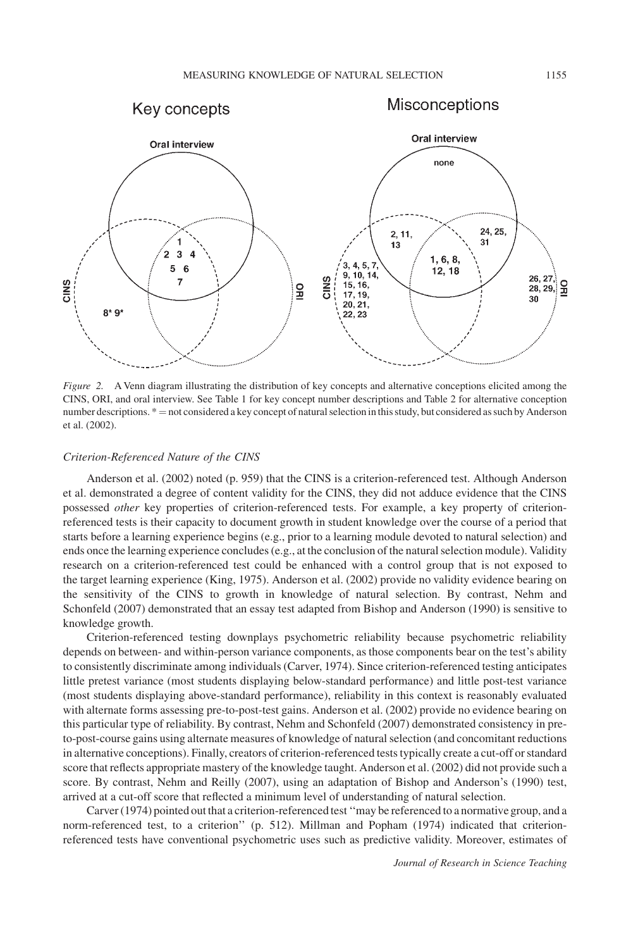

Figure 2. A Venn diagram illustrating the distribution of key concepts and alternative conceptions elicited among the CINS, ORI, and oral interview. See Table 1 for key concept number descriptions and Table 2 for alternative conception number descriptions.  $* =$  not considered a key concept of natural selection in this study, but considered as such by Anderson et al. (2002).

## Criterion-Referenced Nature of the CINS

Anderson et al. (2002) noted (p. 959) that the CINS is a criterion-referenced test. Although Anderson et al. demonstrated a degree of content validity for the CINS, they did not adduce evidence that the CINS possessed other key properties of criterion-referenced tests. For example, a key property of criterionreferenced tests is their capacity to document growth in student knowledge over the course of a period that starts before a learning experience begins (e.g., prior to a learning module devoted to natural selection) and ends once the learning experience concludes (e.g., at the conclusion of the natural selection module). Validity research on a criterion-referenced test could be enhanced with a control group that is not exposed to the target learning experience (King, 1975). Anderson et al. (2002) provide no validity evidence bearing on the sensitivity of the CINS to growth in knowledge of natural selection. By contrast, Nehm and Schonfeld (2007) demonstrated that an essay test adapted from Bishop and Anderson (1990) is sensitive to knowledge growth.

Criterion-referenced testing downplays psychometric reliability because psychometric reliability depends on between- and within-person variance components, as those components bear on the test's ability to consistently discriminate among individuals (Carver, 1974). Since criterion-referenced testing anticipates little pretest variance (most students displaying below-standard performance) and little post-test variance (most students displaying above-standard performance), reliability in this context is reasonably evaluated with alternate forms assessing pre-to-post-test gains. Anderson et al. (2002) provide no evidence bearing on this particular type of reliability. By contrast, Nehm and Schonfeld (2007) demonstrated consistency in preto-post-course gains using alternate measures of knowledge of natural selection (and concomitant reductions in alternative conceptions). Finally, creators of criterion-referenced tests typically create a cut-off or standard score that reflects appropriate mastery of the knowledge taught. Anderson et al. (2002) did not provide such a score. By contrast, Nehm and Reilly (2007), using an adaptation of Bishop and Anderson's (1990) test, arrived at a cut-off score that reflected a minimum level of understanding of natural selection.

Carver (1974) pointed out that a criterion-referenced test''may be referenced to a normative group, and a norm-referenced test, to a criterion'' (p. 512). Millman and Popham (1974) indicated that criterionreferenced tests have conventional psychometric uses such as predictive validity. Moreover, estimates of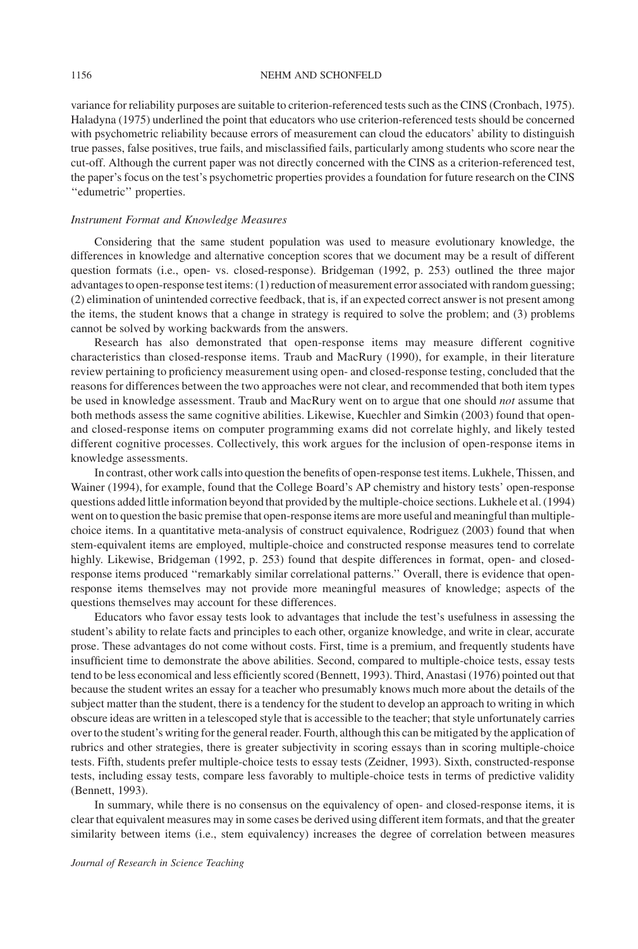variance for reliability purposes are suitable to criterion-referenced tests such as the CINS (Cronbach, 1975). Haladyna (1975) underlined the point that educators who use criterion-referenced tests should be concerned with psychometric reliability because errors of measurement can cloud the educators' ability to distinguish true passes, false positives, true fails, and misclassified fails, particularly among students who score near the cut-off. Although the current paper was not directly concerned with the CINS as a criterion-referenced test, the paper's focus on the test's psychometric properties provides a foundation for future research on the CINS "edumetric" properties.

## Instrument Format and Knowledge Measures

Considering that the same student population was used to measure evolutionary knowledge, the differences in knowledge and alternative conception scores that we document may be a result of different question formats (i.e., open- vs. closed-response). Bridgeman (1992, p. 253) outlined the three major advantages to open-response test items: (1) reduction of measurement error associated with random guessing; (2) elimination of unintended corrective feedback, that is, if an expected correct answer is not present among the items, the student knows that a change in strategy is required to solve the problem; and (3) problems cannot be solved by working backwards from the answers.

Research has also demonstrated that open-response items may measure different cognitive characteristics than closed-response items. Traub and MacRury (1990), for example, in their literature review pertaining to proficiency measurement using open- and closed-response testing, concluded that the reasons for differences between the two approaches were not clear, and recommended that both item types be used in knowledge assessment. Traub and MacRury went on to argue that one should not assume that both methods assess the same cognitive abilities. Likewise, Kuechler and Simkin (2003) found that openand closed-response items on computer programming exams did not correlate highly, and likely tested different cognitive processes. Collectively, this work argues for the inclusion of open-response items in knowledge assessments.

In contrast, other work calls into question the benefits of open-response test items. Lukhele, Thissen, and Wainer (1994), for example, found that the College Board's AP chemistry and history tests' open-response questions added little information beyond that provided by the multiple-choice sections. Lukhele et al. (1994) went on to question the basic premise that open-response items are more useful and meaningful than multiplechoice items. In a quantitative meta-analysis of construct equivalence, Rodriguez (2003) found that when stem-equivalent items are employed, multiple-choice and constructed response measures tend to correlate highly. Likewise, Bridgeman (1992, p. 253) found that despite differences in format, open- and closedresponse items produced ''remarkably similar correlational patterns.'' Overall, there is evidence that openresponse items themselves may not provide more meaningful measures of knowledge; aspects of the questions themselves may account for these differences.

Educators who favor essay tests look to advantages that include the test's usefulness in assessing the student's ability to relate facts and principles to each other, organize knowledge, and write in clear, accurate prose. These advantages do not come without costs. First, time is a premium, and frequently students have insufficient time to demonstrate the above abilities. Second, compared to multiple-choice tests, essay tests tend to be less economical and less efficiently scored (Bennett, 1993). Third, Anastasi (1976) pointed out that because the student writes an essay for a teacher who presumably knows much more about the details of the subject matter than the student, there is a tendency for the student to develop an approach to writing in which obscure ideas are written in a telescoped style that is accessible to the teacher; that style unfortunately carries over to the student's writing for the general reader. Fourth, although this can be mitigated by the application of rubrics and other strategies, there is greater subjectivity in scoring essays than in scoring multiple-choice tests. Fifth, students prefer multiple-choice tests to essay tests (Zeidner, 1993). Sixth, constructed-response tests, including essay tests, compare less favorably to multiple-choice tests in terms of predictive validity (Bennett, 1993).

In summary, while there is no consensus on the equivalency of open- and closed-response items, it is clear that equivalent measures may in some cases be derived using different item formats, and that the greater similarity between items (i.e., stem equivalency) increases the degree of correlation between measures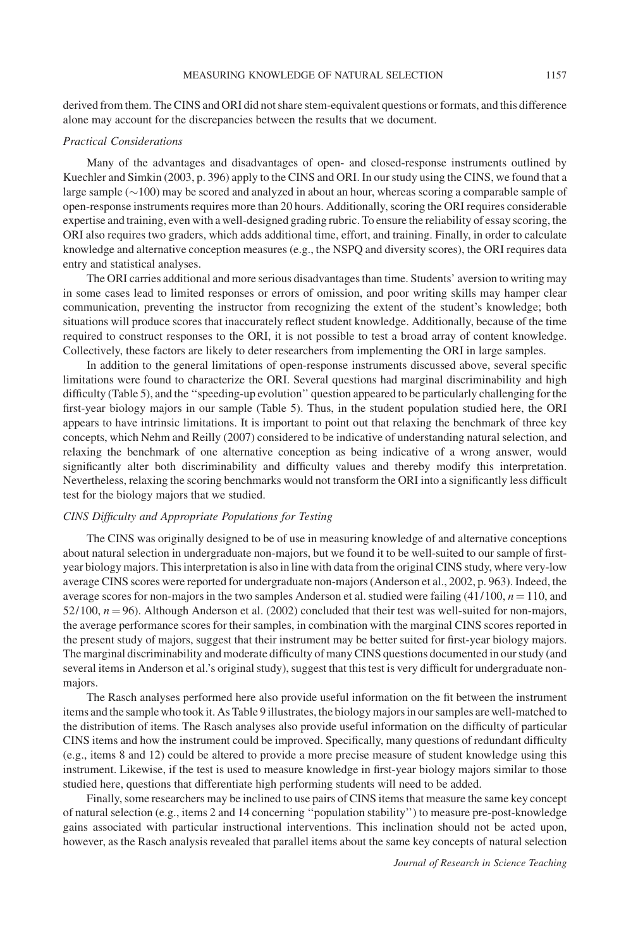derived from them. The CINS and ORI did not share stem-equivalent questions or formats, and this difference alone may account for the discrepancies between the results that we document.

## Practical Considerations

Many of the advantages and disadvantages of open- and closed-response instruments outlined by Kuechler and Simkin (2003, p. 396) apply to the CINS and ORI. In our study using the CINS, we found that a large sample  $(\sim 100)$  may be scored and analyzed in about an hour, whereas scoring a comparable sample of open-response instruments requires more than 20 hours. Additionally, scoring the ORI requires considerable expertise and training, even with a well-designed grading rubric. To ensure the reliability of essay scoring, the ORI also requires two graders, which adds additional time, effort, and training. Finally, in order to calculate knowledge and alternative conception measures (e.g., the NSPQ and diversity scores), the ORI requires data entry and statistical analyses.

The ORI carries additional and more serious disadvantages than time. Students' aversion to writing may in some cases lead to limited responses or errors of omission, and poor writing skills may hamper clear communication, preventing the instructor from recognizing the extent of the student's knowledge; both situations will produce scores that inaccurately reflect student knowledge. Additionally, because of the time required to construct responses to the ORI, it is not possible to test a broad array of content knowledge. Collectively, these factors are likely to deter researchers from implementing the ORI in large samples.

In addition to the general limitations of open-response instruments discussed above, several specific limitations were found to characterize the ORI. Several questions had marginal discriminability and high difficulty (Table 5), and the ''speeding-up evolution'' question appeared to be particularly challenging for the first-year biology majors in our sample (Table 5). Thus, in the student population studied here, the ORI appears to have intrinsic limitations. It is important to point out that relaxing the benchmark of three key concepts, which Nehm and Reilly (2007) considered to be indicative of understanding natural selection, and relaxing the benchmark of one alternative conception as being indicative of a wrong answer, would significantly alter both discriminability and difficulty values and thereby modify this interpretation. Nevertheless, relaxing the scoring benchmarks would not transform the ORI into a significantly less difficult test for the biology majors that we studied.

## CINS Difficulty and Appropriate Populations for Testing

The CINS was originally designed to be of use in measuring knowledge of and alternative conceptions about natural selection in undergraduate non-majors, but we found it to be well-suited to our sample of firstyear biology majors. This interpretation is also in line with data from the original CINS study, where very-low average CINS scores were reported for undergraduate non-majors (Anderson et al., 2002, p. 963). Indeed, the average scores for non-majors in the two samples Anderson et al. studied were failing  $(41/100, n = 110,$  and  $52/100$ ,  $n = 96$ ). Although Anderson et al. (2002) concluded that their test was well-suited for non-majors, the average performance scores for their samples, in combination with the marginal CINS scores reported in the present study of majors, suggest that their instrument may be better suited for first-year biology majors. The marginal discriminability and moderate difficulty of many CINS questions documented in our study (and several items in Anderson et al.'s original study), suggest that this test is very difficult for undergraduate nonmajors.

The Rasch analyses performed here also provide useful information on the fit between the instrument items and the sample who took it. As Table 9 illustrates, the biology majors in our samples are well-matched to the distribution of items. The Rasch analyses also provide useful information on the difficulty of particular CINS items and how the instrument could be improved. Specifically, many questions of redundant difficulty (e.g., items 8 and 12) could be altered to provide a more precise measure of student knowledge using this instrument. Likewise, if the test is used to measure knowledge in first-year biology majors similar to those studied here, questions that differentiate high performing students will need to be added.

Finally, some researchers may be inclined to use pairs of CINS items that measure the same key concept of natural selection (e.g., items 2 and 14 concerning ''population stability'') to measure pre-post-knowledge gains associated with particular instructional interventions. This inclination should not be acted upon, however, as the Rasch analysis revealed that parallel items about the same key concepts of natural selection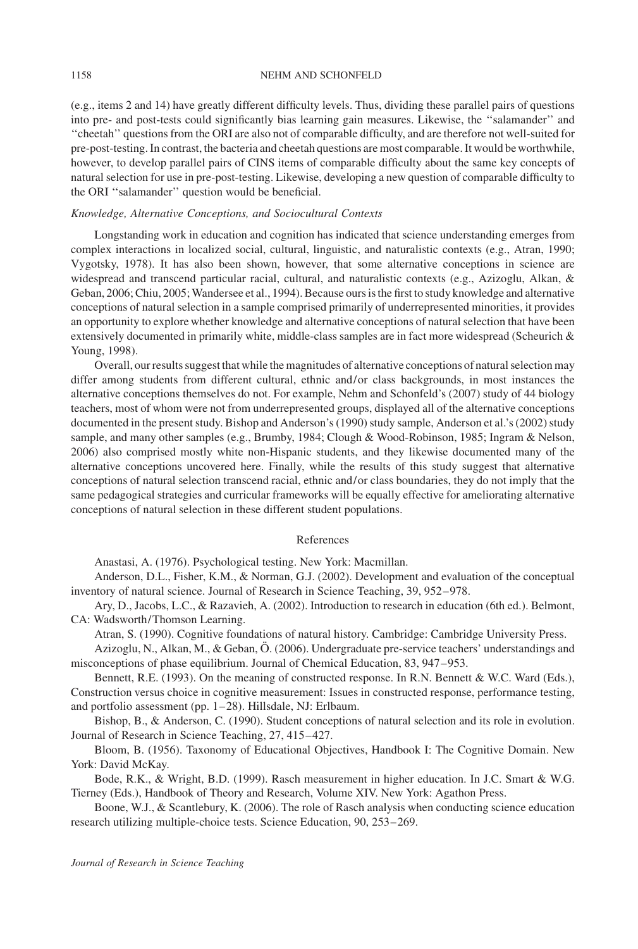(e.g., items 2 and 14) have greatly different difficulty levels. Thus, dividing these parallel pairs of questions into pre- and post-tests could significantly bias learning gain measures. Likewise, the ''salamander'' and ''cheetah'' questions from the ORI are also not of comparable difficulty, and are therefore not well-suited for pre-post-testing. In contrast, the bacteria and cheetah questions are most comparable. It would be worthwhile, however, to develop parallel pairs of CINS items of comparable difficulty about the same key concepts of natural selection for use in pre-post-testing. Likewise, developing a new question of comparable difficulty to the ORI ''salamander'' question would be beneficial.

#### Knowledge, Alternative Conceptions, and Sociocultural Contexts

Longstanding work in education and cognition has indicated that science understanding emerges from complex interactions in localized social, cultural, linguistic, and naturalistic contexts (e.g., Atran, 1990; Vygotsky, 1978). It has also been shown, however, that some alternative conceptions in science are widespread and transcend particular racial, cultural, and naturalistic contexts (e.g., Azizoglu, Alkan, & Geban, 2006; Chiu, 2005; Wandersee et al., 1994). Because ours is the first to study knowledge and alternative conceptions of natural selection in a sample comprised primarily of underrepresented minorities, it provides an opportunity to explore whether knowledge and alternative conceptions of natural selection that have been extensively documented in primarily white, middle-class samples are in fact more widespread (Scheurich & Young, 1998).

Overall, our results suggest that while the magnitudes of alternative conceptions of natural selection may differ among students from different cultural, ethnic and/or class backgrounds, in most instances the alternative conceptions themselves do not. For example, Nehm and Schonfeld's (2007) study of 44 biology teachers, most of whom were not from underrepresented groups, displayed all of the alternative conceptions documented in the present study. Bishop and Anderson's (1990) study sample, Anderson et al.'s (2002) study sample, and many other samples (e.g., Brumby, 1984; Clough & Wood-Robinson, 1985; Ingram & Nelson, 2006) also comprised mostly white non-Hispanic students, and they likewise documented many of the alternative conceptions uncovered here. Finally, while the results of this study suggest that alternative conceptions of natural selection transcend racial, ethnic and/or class boundaries, they do not imply that the same pedagogical strategies and curricular frameworks will be equally effective for ameliorating alternative conceptions of natural selection in these different student populations.

## References

Anastasi, A. (1976). Psychological testing. New York: Macmillan.

Anderson, D.L., Fisher, K.M., & Norman, G.J. (2002). Development and evaluation of the conceptual inventory of natural science. Journal of Research in Science Teaching, 39, 952–978.

Ary, D., Jacobs, L.C., & Razavieh, A. (2002). Introduction to research in education (6th ed.). Belmont, CA: Wadsworth/Thomson Learning.

Atran, S. (1990). Cognitive foundations of natural history. Cambridge: Cambridge University Press.

Azizoglu, N., Alkan, M., & Geban, Ö. (2006). Undergraduate pre-service teachers' understandings and misconceptions of phase equilibrium. Journal of Chemical Education, 83, 947–953.

Bennett, R.E. (1993). On the meaning of constructed response. In R.N. Bennett & W.C. Ward (Eds.), Construction versus choice in cognitive measurement: Issues in constructed response, performance testing, and portfolio assessment (pp. 1–28). Hillsdale, NJ: Erlbaum.

Bishop, B., & Anderson, C. (1990). Student conceptions of natural selection and its role in evolution. Journal of Research in Science Teaching, 27, 415–427.

Bloom, B. (1956). Taxonomy of Educational Objectives, Handbook I: The Cognitive Domain. New York: David McKay.

Bode, R.K., & Wright, B.D. (1999). Rasch measurement in higher education. In J.C. Smart & W.G. Tierney (Eds.), Handbook of Theory and Research, Volume XIV. New York: Agathon Press.

Boone, W.J., & Scantlebury, K. (2006). The role of Rasch analysis when conducting science education research utilizing multiple-choice tests. Science Education, 90, 253–269.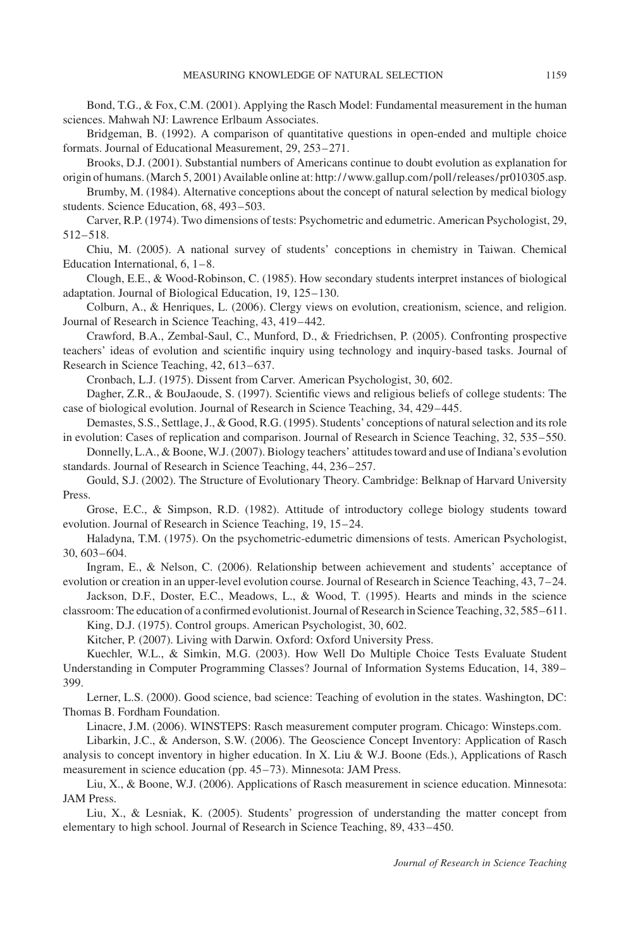Bond, T.G., & Fox, C.M. (2001). Applying the Rasch Model: Fundamental measurement in the human sciences. Mahwah NJ: Lawrence Erlbaum Associates.

Bridgeman, B. (1992). A comparison of quantitative questions in open-ended and multiple choice formats. Journal of Educational Measurement, 29, 253–271.

Brooks, D.J. (2001). Substantial numbers of Americans continue to doubt evolution as explanation for origin of humans. (March 5, 2001) Available online at: http:/ /www.gallup.com/poll/releases/pr010305.asp.

Brumby, M. (1984). Alternative conceptions about the concept of natural selection by medical biology students. Science Education, 68, 493–503.

Carver, R.P. (1974). Two dimensions of tests: Psychometric and edumetric. American Psychologist, 29, 512–518.

Chiu, M. (2005). A national survey of students' conceptions in chemistry in Taiwan. Chemical Education International, 6, 1–8.

Clough, E.E., & Wood-Robinson, C. (1985). How secondary students interpret instances of biological adaptation. Journal of Biological Education, 19, 125–130.

Colburn, A., & Henriques, L. (2006). Clergy views on evolution, creationism, science, and religion. Journal of Research in Science Teaching, 43, 419–442.

Crawford, B.A., Zembal-Saul, C., Munford, D., & Friedrichsen, P. (2005). Confronting prospective teachers' ideas of evolution and scientific inquiry using technology and inquiry-based tasks. Journal of

Research in Science Teaching, 42, 613–637.

Cronbach, L.J. (1975). Dissent from Carver. American Psychologist, 30, 602.

Dagher, Z.R., & BouJaoude, S. (1997). Scientific views and religious beliefs of college students: The case of biological evolution. Journal of Research in Science Teaching, 34, 429–445.

Demastes, S.S., Settlage, J., & Good, R.G. (1995). Students' conceptions of natural selection and its role in evolution: Cases of replication and comparison. Journal of Research in Science Teaching, 32, 535–550.

Donnelly, L.A., & Boone, W.J. (2007). Biology teachers' attitudes toward and use of Indiana's evolution standards. Journal of Research in Science Teaching, 44, 236–257.

Gould, S.J. (2002). The Structure of Evolutionary Theory. Cambridge: Belknap of Harvard University Press.

Grose, E.C., & Simpson, R.D. (1982). Attitude of introductory college biology students toward evolution. Journal of Research in Science Teaching, 19, 15–24.

Haladyna, T.M. (1975). On the psychometric-edumetric dimensions of tests. American Psychologist, 30, 603–604.

Ingram, E., & Nelson, C. (2006). Relationship between achievement and students' acceptance of evolution or creation in an upper-level evolution course. Journal of Research in Science Teaching, 43, 7–24.

Jackson, D.F., Doster, E.C., Meadows, L., & Wood, T. (1995). Hearts and minds in the science classroom: The education of a confirmed evolutionist. Journal of Research in Science Teaching, 32, 585–611.

King, D.J. (1975). Control groups. American Psychologist, 30, 602.

Kitcher, P. (2007). Living with Darwin. Oxford: Oxford University Press.

Kuechler, W.L., & Simkin, M.G. (2003). How Well Do Multiple Choice Tests Evaluate Student Understanding in Computer Programming Classes? Journal of Information Systems Education, 14, 389– 399.

Lerner, L.S. (2000). Good science, bad science: Teaching of evolution in the states. Washington, DC: Thomas B. Fordham Foundation.

Linacre, J.M. (2006). WINSTEPS: Rasch measurement computer program. Chicago: Winsteps.com.

Libarkin, J.C., & Anderson, S.W. (2006). The Geoscience Concept Inventory: Application of Rasch analysis to concept inventory in higher education. In X. Liu & W.J. Boone (Eds.), Applications of Rasch measurement in science education (pp. 45–73). Minnesota: JAM Press.

Liu, X., & Boone, W.J. (2006). Applications of Rasch measurement in science education. Minnesota: JAM Press.

Liu, X., & Lesniak, K. (2005). Students' progression of understanding the matter concept from elementary to high school. Journal of Research in Science Teaching, 89, 433–450.